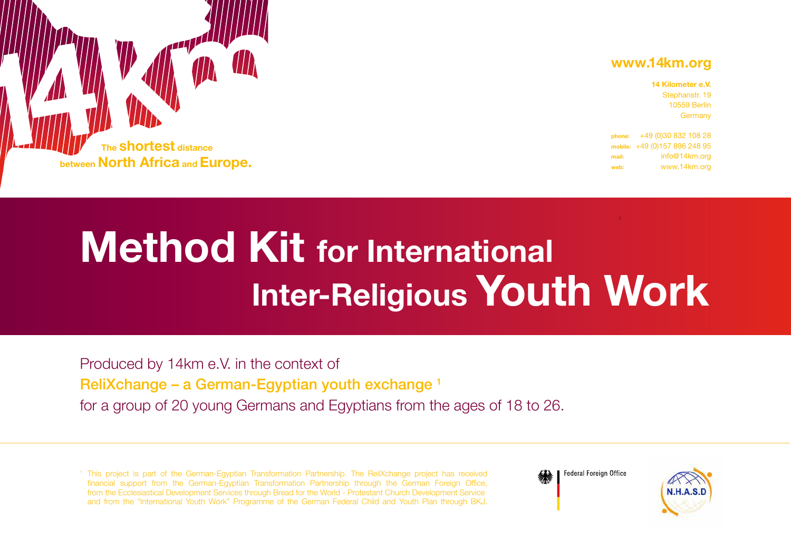# **www.14km.org**

| 14 Kilometer e.V. |
|-------------------|
| Stephanstr. 19    |
| 10559 Berlin      |
| Germany           |
|                   |

**phone:** +49 (0)30 832 108 28 **mobile:** +49 (0)157 896 248 95 **mail:** info@14km.org **web:** www.14km.org



# **Method Kit for International Inter-Religious Youth Work**

Produced by 14km e.V. in the context of ReliXchange – a German-Egyptian youth exchange 1 for a group of 20 young Germans and Egyptians from the ages of 18 to 26.

<sup>1</sup> This project is part of the German-Egyptian Transformation Partnership. The ReliXchange project has received financial support from the German-Egyptian Transformation Partnership through the German Foreign Office, from the Ecclesiastical Development Services through Bread for the World - Protestant Church Development Service and from the "International Youth Work" Programme of the German Federal Child and Youth Plan through BKJ.



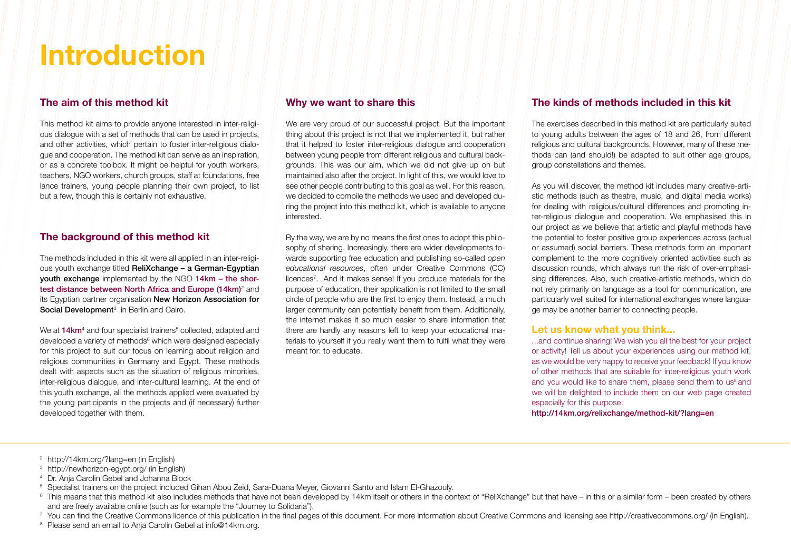# **Introduction**

### **The aim of this method kit**

This method kit aims to provide anyone interested in inter-religious dialogue with a set of methods that can be used in projects, and other activities, which pertain to foster inter-religious dialogue and cooperation. The method kit can serve as an inspiration, or as a concrete toolbox. It might be helpful for youth workers, teachers, NGO workers, church groups, staff at foundations, free lance trainers, young people planning their own project, to list but a few, though this is certainly not exhaustive.

#### **The background of this method kit**

The methods included in this kit were all applied in an inter-religious youth exchange titled ReliXchange – a German-Egyptian youth exchange implemented by the NGO 14km – the shortest distance between North Africa and Europe (14km)<sup>2</sup> and its Egyptian partner organisation New Horizon Association for Social Development<sup>3</sup> in Berlin and Cairo.

We at **14km**<sup>4</sup> and four specialist trainers<sup>5</sup> collected, adapted and developed a variety of methods<sup>6</sup> which were designed especially for this project to suit our focus on learning about religion and religious communities in Germany and Egypt. These methods dealt with aspects such as the situation of religious minorities, inter-religious dialogue, and inter-cultural learning. At the end of this youth exchange, all the methods applied were evaluated by the young participants in the projects and (if necessary) further developed together with them.

#### **Why we want to share this**

We are very proud of our successful project. But the important thing about this project is not that we implemented it, but rather that it helped to foster inter-religious dialogue and cooperation between young people from different religious and cultural backgrounds. This was our aim, which we did not give up on but maintained also after the project. In light of this, we would love to see other people contributing to this goal as well. For this reason, we decided to compile the methods we used and developed during the project into this method kit, which is available to anyone interested.

By the way, we are by no means the first ones to adopt this philosophy of sharing. Increasingly, there are wider developments towards supporting free education and publishing so-called *open educational resources*, often under Creative Commons (CC) licences7 . And it makes sense! If you produce materials for the purpose of education, their application is not limited to the small circle of people who are the first to enjoy them. Instead, a much larger community can potentially benefit from them. Additionally, the internet makes it so much easier to share information that there are hardly any reasons left to keep your educational materials to yourself if you really want them to fulfil what they were meant for: to educate.

### **The kinds of methods included in this kit**

The exercises described in this method kit are particularly suited to young adults between the ages of 18 and 26, from different religious and cultural backgrounds. However, many of these methods can (and should!) be adapted to suit other age groups, group constellations and themes.

As you will discover, the method kit includes many creative-artistic methods (such as theatre, music, and digital media works) for dealing with religious/cultural differences and promoting inter-religious dialogue and cooperation. We emphasised this in our project as we believe that artistic and playful methods have the potential to foster positive group experiences across (actual or assumed) social barriers. These methods form an important complement to the more cognitively oriented activities such as discussion rounds, which always run the risk of over-emphasising differences. Also, such creative-artistic methods, which do not rely primarily on language as a tool for communication, are particularly well suited for international exchanges where language may be another barrier to connecting people.

#### **Let us know what you think...**

...and continue sharing! We wish you all the best for your project or activity! Tell us about your experiences using our method kit, as we would be very happy to receive your feedback! If you know of other methods that are suitable for inter-religious youth work and you would like to share them, please send them to us<sup>8</sup> and we will be delighted to include them on our web page created especially for this purpose:

http://14km.org/relixchange/method-kit/?lang=en

- 2 http://14km.org/?lang=en (in English)
- 3 http://newhorizon-egypt.org/ (in English)
- <sup>4</sup> Dr. Anja Carolin Gebel and Johanna Block
- <sup>5</sup> Specialist trainers on the project included Gihan Abou Zeid, Sara-Duana Meyer, Giovanni Santo and Islam El-Ghazouly.
- <sup>6</sup> This means that this method kit also includes methods that have not been developed by 14km itself or others in the context of "ReliXchange" but that have in this or a similar form been created by others and are freely available online (such as for example the "Journey to Solidaria").
- 7 You can find the Creative Commons licence of this publication in the final pages of this document. For more information about Creative Commons and licensing see http://creativecommons.org/ (in English).
- <sup>8</sup> Please send an email to Anja Carolin Gebel at info@14km.org.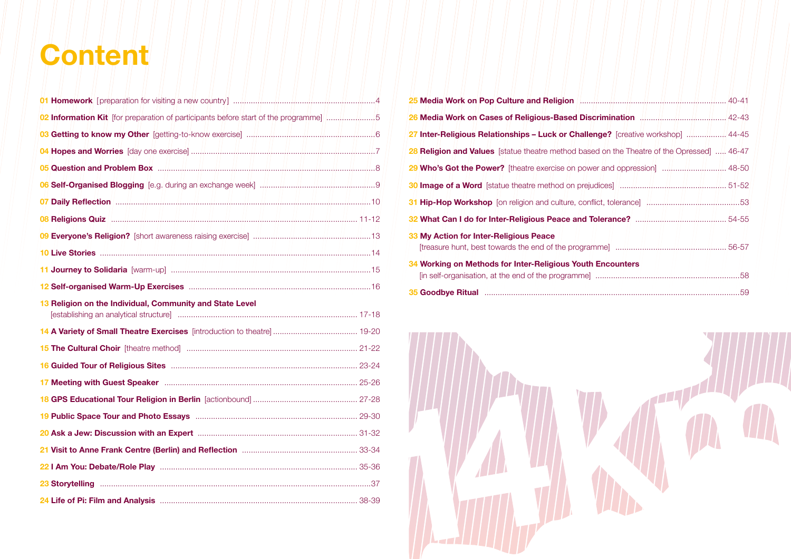# **Content**

| 02 Information Kit [for preparation of participants before start of the programme]      |  |
|-----------------------------------------------------------------------------------------|--|
|                                                                                         |  |
|                                                                                         |  |
|                                                                                         |  |
|                                                                                         |  |
|                                                                                         |  |
|                                                                                         |  |
|                                                                                         |  |
|                                                                                         |  |
|                                                                                         |  |
|                                                                                         |  |
| 13 Religion on the Individual, Community and State Level                                |  |
|                                                                                         |  |
|                                                                                         |  |
|                                                                                         |  |
|                                                                                         |  |
|                                                                                         |  |
|                                                                                         |  |
|                                                                                         |  |
| 21 Visit to Anne Frank Centre (Berlin) and Reflection manufactured visit to Anne T33-34 |  |
|                                                                                         |  |
|                                                                                         |  |
|                                                                                         |  |

| 26 Media Work on Cases of Religious-Based Discrimination Manumerman, 42-43                 |  |
|--------------------------------------------------------------------------------------------|--|
| 27 Inter-Religious Relationships – Luck or Challenge? [creative workshop]  44-45           |  |
| 28 Religion and Values [statue theatre method based on the Theatre of the Opressed]  46-47 |  |
|                                                                                            |  |
|                                                                                            |  |
|                                                                                            |  |
|                                                                                            |  |
| 33 My Action for Inter-Religious Peace                                                     |  |
| 34 Working on Methods for Inter-Religious Youth Encounters                                 |  |
|                                                                                            |  |

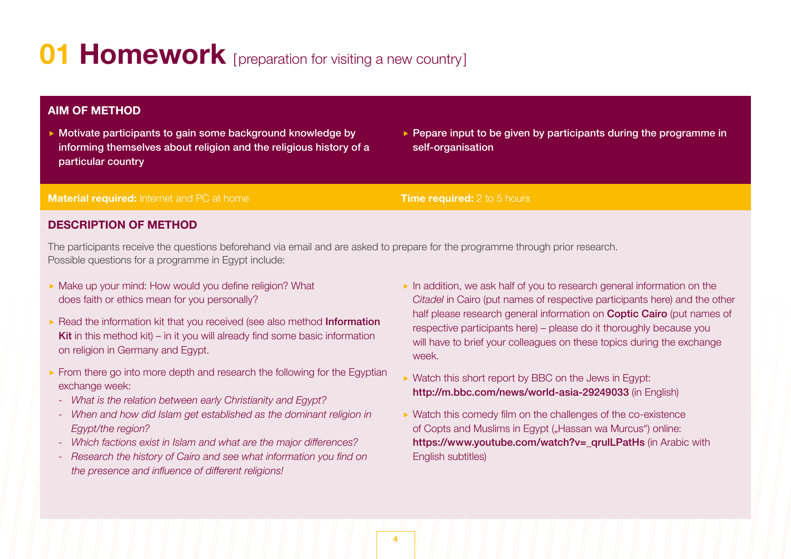# **01 Homework** [preparation for visiting a new country]

# **AIM OF METHOD**

- ▶ Motivate participants to gain some background knowledge by informing themselves about religion and the religious history of a particular country
- $\triangleright$  Pepare input to be given by participants during the programme in self-organisation

### **Material required:** Internet and PC at home **Transfer and Time required:** 2 to 5 hours

# **DESCRIPTION OF METHOD**

The participants receive the questions beforehand via email and are asked to prepare for the programme through prior research. Possible questions for a programme in Egypt include:

- Make up your mind: How would you define religion? What does faith or ethics mean for you personally?
- Read the information kit that you received (see also method Information Kit in this method kit) – in it you will already find some basic information on religion in Germany and Egypt.
- From there go into more depth and research the following for the Egyptian exchange week:
	- *- What is the relation between early Christianity and Egypt?*
	- *- When and how did Islam get established as the dominant religion in Egypt/the region?*
	- *- Which factions exist in Islam and what are the major differences?*
	- *- Research the history of Cairo and see what information you find on the presence and influence of different religions!*
- $\blacktriangleright$  In addition, we ask half of you to research general information on the *Citadel* in Cairo (put names of respective participants here) and the other half please research general information on **Coptic Cairo** (put names of respective participants here) – please do it thoroughly because you will have to brief your colleagues on these topics during the exchange week.
- ▶ Watch this short report by BBC on the Jews in Egypt: http://m.bbc.com/news/world-asia-29249033 (in English)
- ▶ Watch this comedy film on the challenges of the co-existence of Copts and Muslims in Egypt ("Hassan wa Murcus") online: https://www.youtube.com/watch?v= qrulLPatHs (in Arabic with English subtitles)

**4**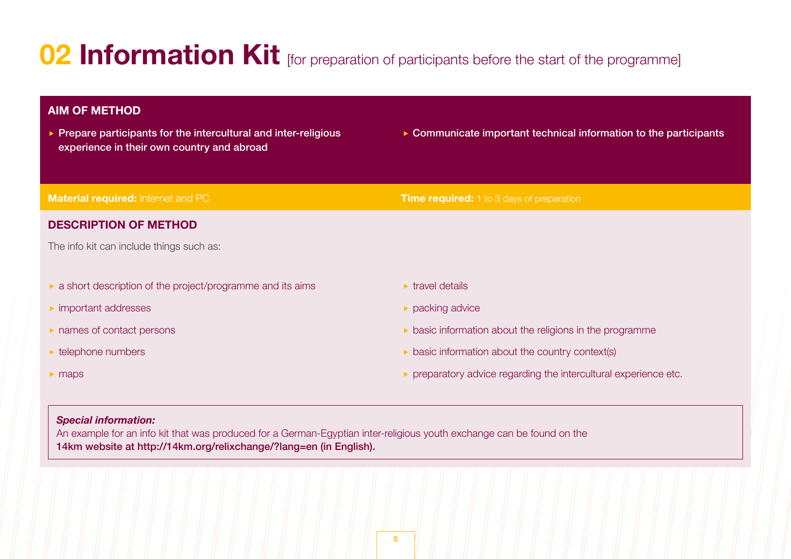# **02 Information Kit** [for preparation of participants before the start of the programme]

# **AIM OF METHOD**

- $\triangleright$  Prepare participants for the intercultural and inter-religious experience in their own country and abroad
- ▶ Communicate important technical information to the participants

| <b>Material required: Internet and PC</b>                                                                                                                                                                                                 | <b>Time required:</b> 1 to 3 days of preparation                        |
|-------------------------------------------------------------------------------------------------------------------------------------------------------------------------------------------------------------------------------------------|-------------------------------------------------------------------------|
| <b>DESCRIPTION OF METHOD</b>                                                                                                                                                                                                              |                                                                         |
| The info kit can include things such as:                                                                                                                                                                                                  |                                                                         |
|                                                                                                                                                                                                                                           |                                                                         |
| $\triangleright$ a short description of the project/programme and its aims                                                                                                                                                                | $\triangleright$ travel details                                         |
| $\triangleright$ important addresses                                                                                                                                                                                                      | $\triangleright$ packing advice                                         |
| $\triangleright$ names of contact persons                                                                                                                                                                                                 | $\triangleright$ basic information about the religions in the programme |
| $\triangleright$ telephone numbers                                                                                                                                                                                                        | $\triangleright$ basic information about the country context(s)         |
| $\blacktriangleright$ maps                                                                                                                                                                                                                | ▶ preparatory advice regarding the intercultural experience etc.        |
|                                                                                                                                                                                                                                           |                                                                         |
| <b>Special information:</b>                                                                                                                                                                                                               |                                                                         |
| An example for an info kit that was produced for a German-Egyptian inter-religious youth exchange can be found on the<br>الماري المساحد المنافس المساحد المساحد المنافس المساحد المنافس المنافس المنافس المنافس المنافسة المنافسة المنافس |                                                                         |

14km website at http://14km.org/relixchange/?lang=en (in English).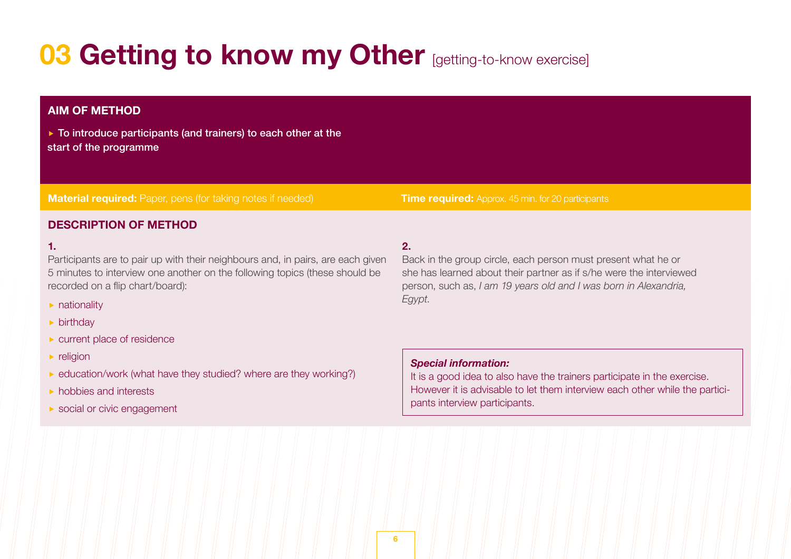# **03 Getting to know my Other [getting-to-know exercise]**

# **Material required:** Paper, pens (for taking notes if needed) **Time required:** Approx. 45 min. for 20 participants **AIM OF METHOD DESCRIPTION OF METHOD** ▶ To introduce participants (and trainers) to each other at the start of the programme **1.** Participants are to pair up with their neighbours and, in pairs, are each given 5 minutes to interview one another on the following topics (these should be recorded on a flip chart/board):  $\blacktriangleright$  nationality **birthday 2.** Back in the group circle, each person must present what he or she has learned about their partner as if s/he were the interviewed person, such as, *I am 19 years old and I was born in Alexandria, Egypt*.

- **Exercise current place of residence**
- $\blacktriangleright$  religion
- ▶ education/work (what have they studied? where are they working?)
- hobbies and interests
- ▶ social or civic engagement

# *Special information:*

It is a good idea to also have the trainers participate in the exercise. However it is advisable to let them interview each other while the participants interview participants.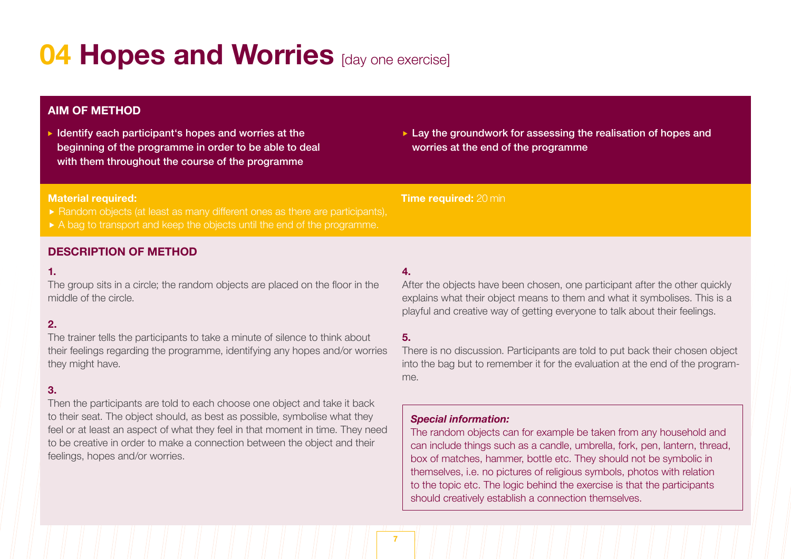# **04 Hopes and Worries** [day one exercise]

# **AIM OF METHOD**

 $\blacktriangleright$  Identify each participant's hopes and worries at the beginning of the programme in order to be able to deal with them throughout the course of the programme

► Lay the groundwork for assessing the realisation of hopes and worries at the end of the programme

### **Material required:**

- ► Random objects (at least as many different ones as there are participants),
- A bag to transport and keep the objects until the end of the programme.

# **DESCRIPTION OF METHOD**

# **1.**

The group sits in a circle; the random objects are placed on the floor in the middle of the circle.

# **2.**

The trainer tells the participants to take a minute of silence to think about their feelings regarding the programme, identifying any hopes and/or worries they might have.

# **3.**

Then the participants are told to each choose one object and take it back to their seat. The object should, as best as possible, symbolise what they feel or at least an aspect of what they feel in that moment in time. They need to be creative in order to make a connection between the object and their feelings, hopes and/or worries.

# **4.**

After the objects have been chosen, one participant after the other quickly explains what their object means to them and what it symbolises. This is a playful and creative way of getting everyone to talk about their feelings.

# **5.**

There is no discussion. Participants are told to put back their chosen object into the bag but to remember it for the evaluation at the end of the programme.

# *Special information:*

**Time required:** 20 min

The random objects can for example be taken from any household and can include things such as a candle, umbrella, fork, pen, lantern, thread, box of matches, hammer, bottle etc. They should not be symbolic in themselves, i.e. no pictures of religious symbols, photos with relation to the topic etc. The logic behind the exercise is that the participants should creatively establish a connection themselves.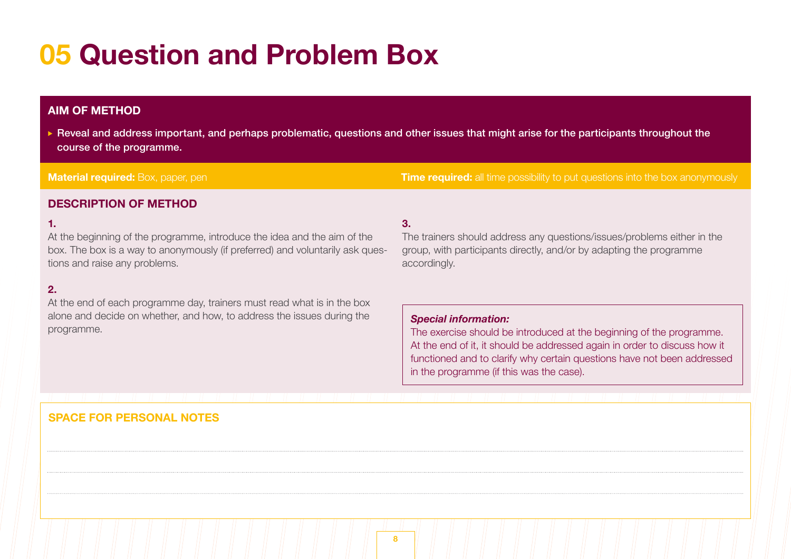# **05 Question and Problem Box**

# **AIM OF METHOD**

 Reveal and address important, and perhaps problematic, questions and other issues that might arise for the participants throughout the course of the programme.

# **Material required:** Box, paper, pen **Time required:** all time possibility to put questions into the box anonymously

# **DESCRIPTION OF METHOD**

### **1.**

At the beginning of the programme, introduce the idea and the aim of the box. The box is a way to anonymously (if preferred) and voluntarily ask questions and raise any problems.

# **2.**

At the end of each programme day, trainers must read what is in the box alone and decide on whether, and how, to address the issues during the programme.

# **3.**

The trainers should address any questions/issues/problems either in the group, with participants directly, and/or by adapting the programme accordingly.

### *Special information:*

The exercise should be introduced at the beginning of the programme. At the end of it, it should be addressed again in order to discuss how it functioned and to clarify why certain questions have not been addressed in the programme (if this was the case).

# **SPACE FOR PERSONAL NOTES**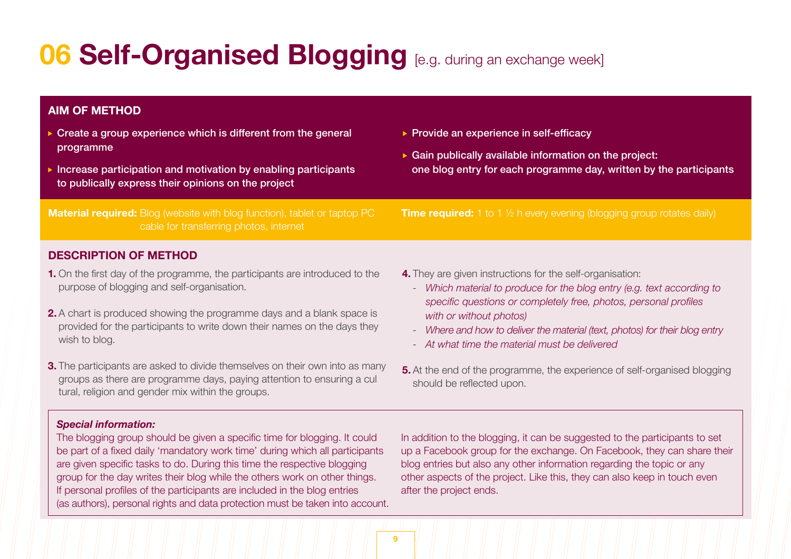# **06 Self-Organised Blogging** [e.g. during an exchange week]

# **AIM OF METHOD**

- Create a group experience which is different from the general programme
- Increase participation and motivation by enabling participants to publically express their opinions on the project

**Material required:** Blog (website with blog function), tablet or taptop PC cable for transferring photos, internet

▶ Provide an experience in self-efficacy

 Gain publically available information on the project: one blog entry for each programme day, written by the participants

**Time required:** 1 to 1 <sup>1</sup>/<sub>2</sub> h every evening (blogging group rotates daily)

# **DESCRIPTION OF METHOD**

- **1.** On the first day of the programme, the participants are introduced to the purpose of blogging and self-organisation.
- **2.** A chart is produced showing the programme days and a blank space is provided for the participants to write down their names on the days they wish to blog.
- **3.** The participants are asked to divide themselves on their own into as many groups as there are programme days, paying attention to ensuring a cul tural, religion and gender mix within the groups.
- **4.** They are given instructions for the self-organisation:
	- *Which material to produce for the blog entry (e.g. text according to specific questions or completely free, photos, personal profiles with or without photos)*
	- *- Where and how to deliver the material (text, photos) for their blog entry*
	- *- At what time the material must be delivered*
- **5.** At the end of the programme, the experience of self-organised blogging should be reflected upon.

#### *Special information:*

The blogging group should be given a specific time for blogging. It could be part of a fixed daily 'mandatory work time' during which all participants are given specific tasks to do. During this time the respective blogging group for the day writes their blog while the others work on other things. If personal profiles of the participants are included in the blog entries (as authors), personal rights and data protection must be taken into account. In addition to the blogging, it can be suggested to the participants to set up a Facebook group for the exchange. On Facebook, they can share their blog entries but also any other information regarding the topic or any other aspects of the project. Like this, they can also keep in touch even after the project ends.

**9**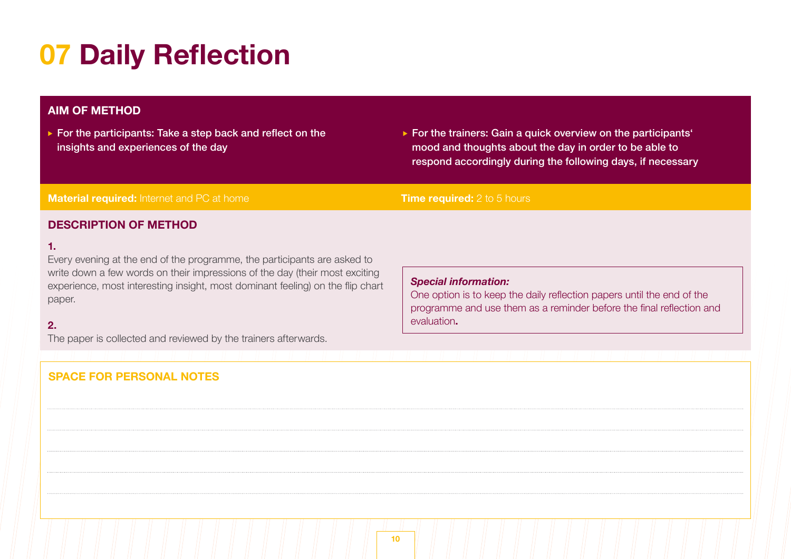# **07 Daily Reflection**

# **AIM OF METHOD**

▶ For the participants: Take a step back and reflect on the insights and experiences of the day

► For the trainers: Gain a quick overview on the participants mood and thoughts about the day in order to be able to respond accordingly during the following days, if necessary

## **Material required:** Internet and PC at home **Time required:** 2 to 5 hours

# **DESCRIPTION OF METHOD**

# **1.**

Every evening at the end of the programme, the participants are asked to write down a few words on their impressions of the day (their most exciting experience, most interesting insight, most dominant feeling) on the flip chart paper.

# **2.**

The paper is collected and reviewed by the trainers afterwards.

# **SPACE FOR PERSONAL NOTES**

#### *Special information:*

One option is to keep the daily reflection papers until the end of the programme and use them as a reminder before the final reflection and evaluation**.**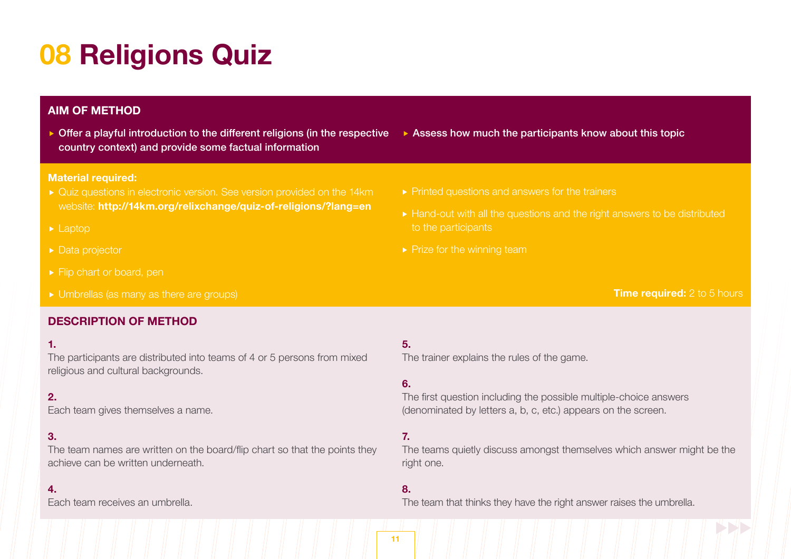# **08 Religions Quiz**

# **AIM OF METHOD**

▶ Offer a playful introduction to the different religions (in the respective Assess how much the participants know about this topic country context) and provide some factual information

### **Material required:**

- ► Quiz questions in electronic version. See version provided on the 14km website: **http://14km.org/relixchange/quiz-of-religions/?lang=en**
- $\blacktriangleright$  Laptop
- ▶ Data projector
- Flip chart or board, pen
- 

# **DESCRIPTION OF METHOD**

### **1.**

The participants are distributed into teams of 4 or 5 persons from mixed religious and cultural backgrounds.

# $2<sup>2</sup>$

Each team gives themselves a name.

# **3.**

The team names are written on the board/flip chart so that the points they achieve can be written underneath.

### **4.**

Each team receives an umbrella.

- $\blacktriangleright$  Printed questions and answers for the trainers
- ► Hand-out with all the questions and the right answers to be distributed to the participants
- $\blacktriangleright$  Prize for the winning team

# **Time required:** 2 to 5 hours

# **5.**

The trainer explains the rules of the game.

# **6.**

The first question including the possible multiple-choice answers (denominated by letters a, b, c, etc.) appears on the screen.

# **7.**

The teams quietly discuss amongst themselves which answer might be the right one.

### **8.**

The team that thinks they have the right answer raises the umbrella.

**11**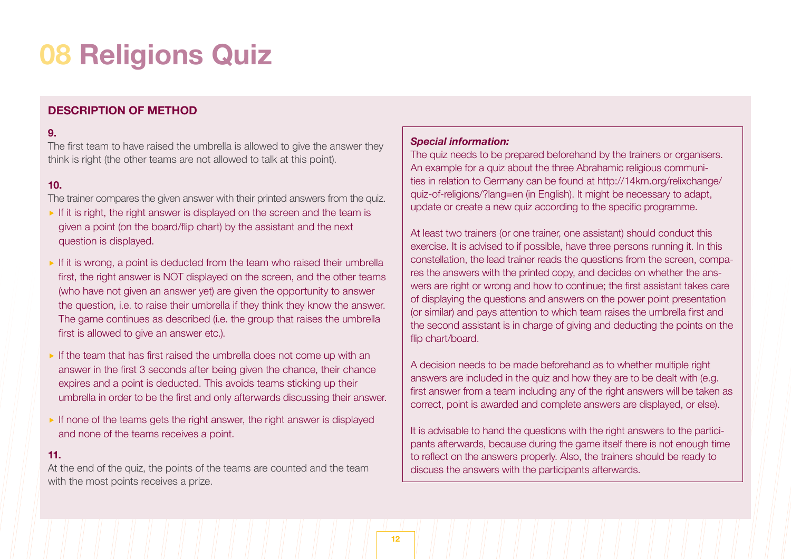# **08 Religions Quiz**

# **DESCRIPTION OF METHOD**

### **9.**

The first team to have raised the umbrella is allowed to give the answer they think is right (the other teams are not allowed to talk at this point).

### **10.**

The trainer compares the given answer with their printed answers from the quiz.

- If it is right, the right answer is displayed on the screen and the team is given a point (on the board/flip chart) by the assistant and the next question is displayed.
- If it is wrong, a point is deducted from the team who raised their umbrella first, the right answer is NOT displayed on the screen, and the other teams (who have not given an answer yet) are given the opportunity to answer the question, i.e. to raise their umbrella if they think they know the answer. The game continues as described (i.e. the group that raises the umbrella first is allowed to give an answer etc.).
- If the team that has first raised the umbrella does not come up with an answer in the first 3 seconds after being given the chance, their chance expires and a point is deducted. This avoids teams sticking up their umbrella in order to be the first and only afterwards discussing their answer.
- If none of the teams gets the right answer, the right answer is displayed and none of the teams receives a point.

#### **11.**

At the end of the quiz, the points of the teams are counted and the team with the most points receives a prize.

#### *Special information:*

The quiz needs to be prepared beforehand by the trainers or organisers. An example for a quiz about the three Abrahamic religious communities in relation to Germany can be found at http://14km.org/relixchange/ quiz-of-religions/?lang=en (in English). It might be necessary to adapt, update or create a new quiz according to the specific programme.

At least two trainers (or one trainer, one assistant) should conduct this exercise. It is advised to if possible, have three persons running it. In this constellation, the lead trainer reads the questions from the screen, compares the answers with the printed copy, and decides on whether the answers are right or wrong and how to continue; the first assistant takes care of displaying the questions and answers on the power point presentation (or similar) and pays attention to which team raises the umbrella first and the second assistant is in charge of giving and deducting the points on the flip chart/board.

A decision needs to be made beforehand as to whether multiple right answers are included in the quiz and how they are to be dealt with (e.g. first answer from a team including any of the right answers will be taken as correct, point is awarded and complete answers are displayed, or else).

It is advisable to hand the questions with the right answers to the participants afterwards, because during the game itself there is not enough time to reflect on the answers properly. Also, the trainers should be ready to discuss the answers with the participants afterwards.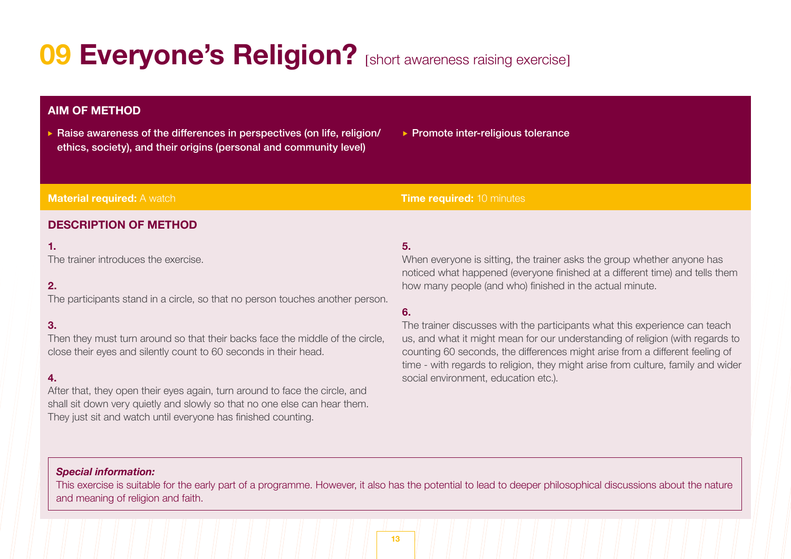# **09 Everyone's Religion?** [short awareness raising exercise]

# **AIM OF METHOD**

- Raise awareness of the differences in perspectives (on life, religion/ ethics, society), and their origins (personal and community level)
- ▶ Promote inter-religious tolerance

#### **Material required:** A watch **Time required:** 10 minutes

# **DESCRIPTION OF METHOD**

### **1.**

The trainer introduces the exercise.

# **2.**

The participants stand in a circle, so that no person touches another person.

# **3.**

Then they must turn around so that their backs face the middle of the circle, close their eyes and silently count to 60 seconds in their head.

### **4.**

After that, they open their eyes again, turn around to face the circle, and shall sit down very quietly and slowly so that no one else can hear them. They just sit and watch until everyone has finished counting.

# **5.**

When everyone is sitting, the trainer asks the group whether anyone has noticed what happened (everyone finished at a different time) and tells them how many people (and who) finished in the actual minute.

# **6.**

The trainer discusses with the participants what this experience can teach us, and what it might mean for our understanding of religion (with regards to counting 60 seconds, the differences might arise from a different feeling of time - with regards to religion, they might arise from culture, family and wider social environment, education etc.).

# *Special information:*

This exercise is suitable for the early part of a programme. However, it also has the potential to lead to deeper philosophical discussions about the nature and meaning of religion and faith.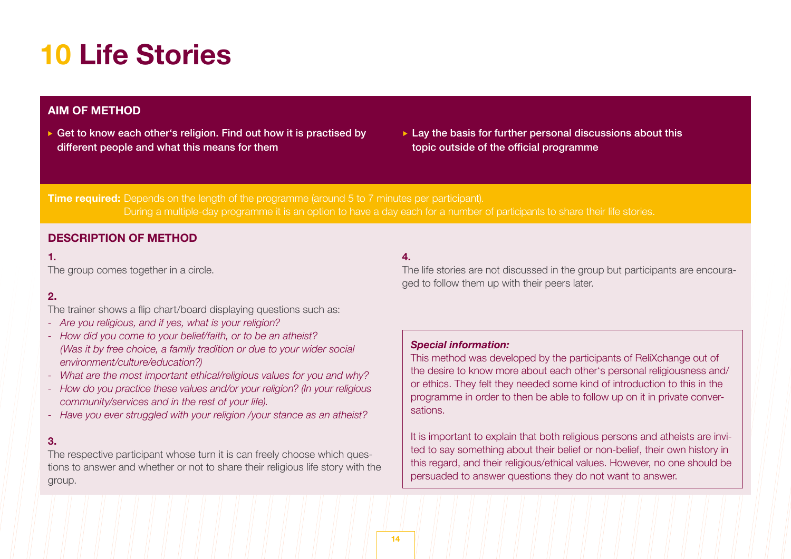# **10 Life Stories**

# **AIM OF METHOD**

- Get to know each other's religion. Find out how it is practised by different people and what this means for them
- $\blacktriangleright$  Lay the basis for further personal discussions about this topic outside of the official programme

**Time required:** Depends on the length of the programme (around 5 to 7 minutes per participant). During a multiple-day programme it is an option to have a day each for a number of participants to share their life stories.

# **DESCRIPTION OF METHOD**

### **1.**

The group comes together in a circle.

# **2.**

The trainer shows a flip chart/board displaying questions such as:

- *Are you religious, and if yes, what is your religion?*
- *- How did you come to your belief/faith, or to be an atheist? (Was it by free choice, a family tradition or due to your wider social environment/culture/education?)*
- *What are the most important ethical/religious values for you and why?*
- *- How do you practice these values and/or your religion? (In your religious community/services and in the rest of your life).*
- *Have you ever struggled with your religion /your stance as an atheist?*

### **3.**

The respective participant whose turn it is can freely choose which questions to answer and whether or not to share their religious life story with the group.

# **4.**

The life stories are not discussed in the group but participants are encouraged to follow them up with their peers later.

### *Special information:*

This method was developed by the participants of ReliXchange out of the desire to know more about each other's personal religiousness and/ or ethics. They felt they needed some kind of introduction to this in the programme in order to then be able to follow up on it in private conversations.

It is important to explain that both religious persons and atheists are invited to say something about their belief or non-belief, their own history in this regard, and their religious/ethical values. However, no one should be persuaded to answer questions they do not want to answer.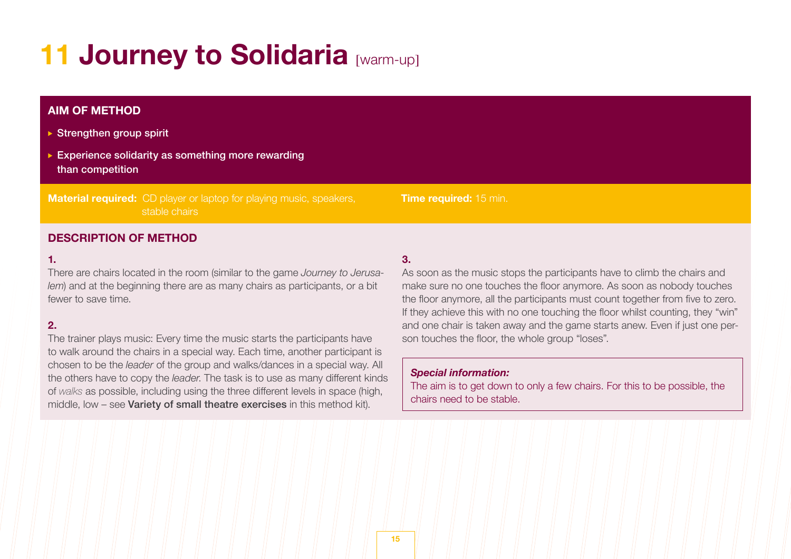# **11 Journey to Solidaria [warm-up]**

# **AIM OF METHOD**

- $\triangleright$  Strengthen group spirit
- Experience solidarity as something more rewarding than competition

**Material required:** CD player or laptop for playing music, speakers, stable chairs

# **DESCRIPTION OF METHOD**

#### **1.**

There are chairs located in the room (similar to the game *Journey to Jerusalem*) and at the beginning there are as many chairs as participants, or a bit fewer to save time.

# **2.**

The trainer plays music: Every time the music starts the participants have to walk around the chairs in a special way. Each time, another participant is chosen to be the *leader* of the group and walks/dances in a special way. All the others have to copy the *leader*. The task is to use as many different kinds of *walks* as possible, including using the three different levels in space (high, middle, low – see **Variety of small theatre exercises** in this method kit).

# **3.**

As soon as the music stops the participants have to climb the chairs and make sure no one touches the floor anymore. As soon as nobody touches the floor anymore, all the participants must count together from five to zero. If they achieve this with no one touching the floor whilst counting, they "win" and one chair is taken away and the game starts anew. Even if just one person touches the floor, the whole group "loses".

#### *Special information:*

**Time required:** 15 min.

The aim is to get down to only a few chairs. For this to be possible, the chairs need to be stable.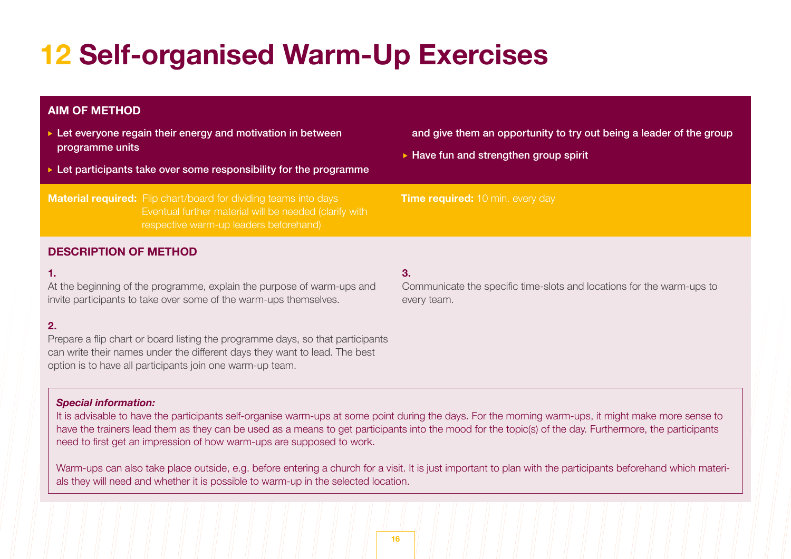# **12 Self-organised Warm-Up Exercises**

# **AIM OF METHOD**

- ► Let evervone regain their energy and motivation in between programme units
- $\blacktriangleright$  Let participants take over some responsibility for the programme

**Material required:** Flip chart/board for dividing teams into days Eventual further material will be needed (clarify with respective warm-up leaders beforehand)

and give them an opportunity to try out being a leader of the group

Communicate the specific time-slots and locations for the warm-ups to

 $\blacktriangleright$  Have fun and strengthen group spirit

#### **Time required:** 10 min. every day

# **DESCRIPTION OF METHOD**

#### **1.**

At the beginning of the programme, explain the purpose of warm-ups and invite participants to take over some of the warm-ups themselves.

# **2.**

Prepare a flip chart or board listing the programme days, so that participants can write their names under the different days they want to lead. The best option is to have all participants join one warm-up team.

#### *Special information:*

It is advisable to have the participants self-organise warm-ups at some point during the days. For the morning warm-ups, it might make more sense to have the trainers lead them as they can be used as a means to get participants into the mood for the topic(s) of the day. Furthermore, the participants need to first get an impression of how warm-ups are supposed to work.

**3.**

every team.

Warm-ups can also take place outside, e.g. before entering a church for a visit. It is just important to plan with the participants beforehand which materials they will need and whether it is possible to warm-up in the selected location.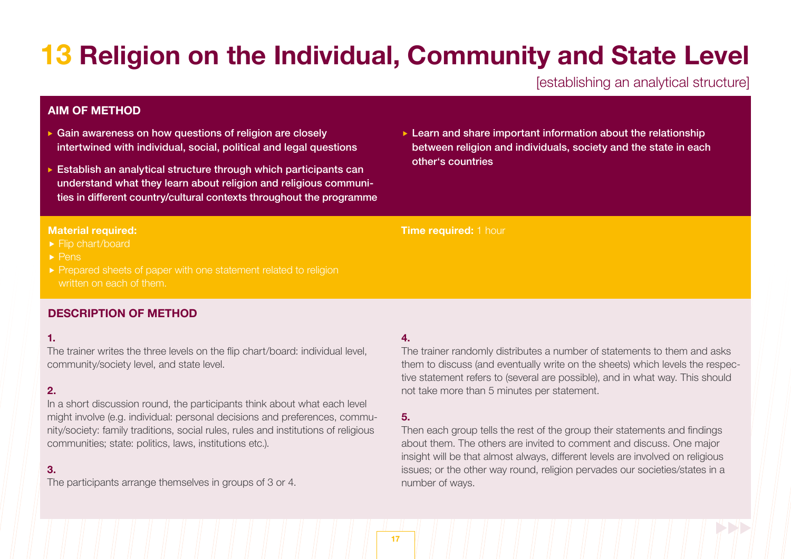# **13 Religion on the Individual, Community and State Level**

[establishing an analytical structure]

# **AIM OF METHOD**

- Gain awareness on how questions of religion are closely intertwined with individual, social, political and legal questions
- Establish an analytical structure through which participants can understand what they learn about religion and religious communities in different country/cultural contexts throughout the programme
- $\blacktriangleright$  Learn and share important information about the relationship between religion and individuals, society and the state in each other's countries

#### **Material required:**

- ► Flip chart/board
- $\blacktriangleright$  Pens
- ▶ Prepared sheets of paper with one statement related to religion written on each of them.

# **DESCRIPTION OF METHOD**

### **1.**

The trainer writes the three levels on the flip chart/board: individual level, community/society level, and state level.

### **2.**

In a short discussion round, the participants think about what each level might involve (e.g. individual: personal decisions and preferences, community/society: family traditions, social rules, rules and institutions of religious communities; state: politics, laws, institutions etc.).

# **3.**

The participants arrange themselves in groups of 3 or 4.

### **4.**

**Time required:** 1 hour

The trainer randomly distributes a number of statements to them and asks them to discuss (and eventually write on the sheets) which levels the respective statement refers to (several are possible), and in what way. This should not take more than 5 minutes per statement.

# **5.**

Then each group tells the rest of the group their statements and findings about them. The others are invited to comment and discuss. One major insight will be that almost always, different levels are involved on religious issues; or the other way round, religion pervades our societies/states in a number of ways.

#### **17**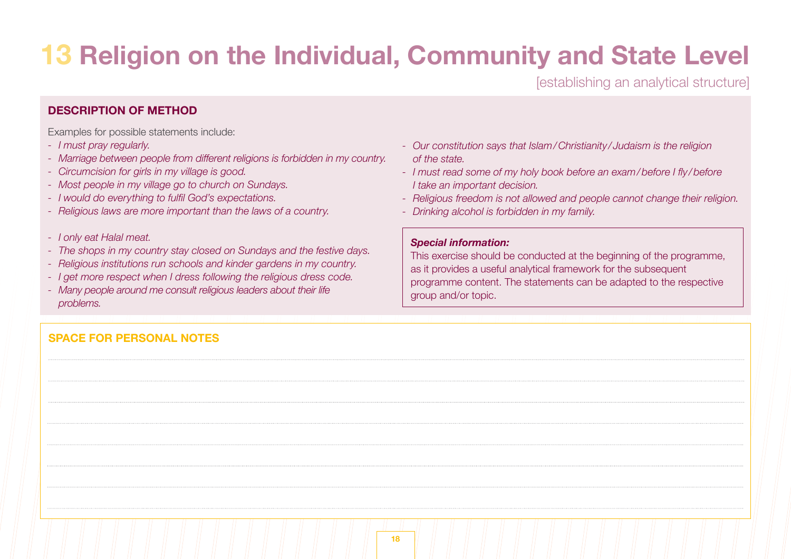# **13 Religion on the Individual, Community and State Level**

[establishing an analytical structure]

# **DESCRIPTION OF METHOD**

Examples for possible statements include:

- *- I must pray regularly.*
- *- Marriage between people from different religions is forbidden in my country.*
- *- Circumcision for girls in my village is good.*
- *- Most people in my village go to church on Sundays.*
- *- I would do everything to fulfil God's expectations.*
- *- Religious laws are more important than the laws of a country.*
- *- I only eat Halal meat.*
- *- The shops in my country stay closed on Sundays and the festive days.*
- *- Religious institutions run schools and kinder gardens in my country.*
- *- I get more respect when I dress following the religious dress code.*
- *- Many people around me consult religious leaders about their life problems.*

# **SPACE FOR PERSONAL NOTES**

- *- Our constitution says that Islam/Christianity / Judaism is the religion of the state.*
- *- I must read some of my holy book before an exam/before I fly /before I take an important decision.*
- *- Religious freedom is not allowed and people cannot change their religion.*
- *- Drinking alcohol is forbidden in my family.*

### *Special information:*

This exercise should be conducted at the beginning of the programme, as it provides a useful analytical framework for the subsequent programme content. The statements can be adapted to the respective group and/or topic.

| 18 |  |
|----|--|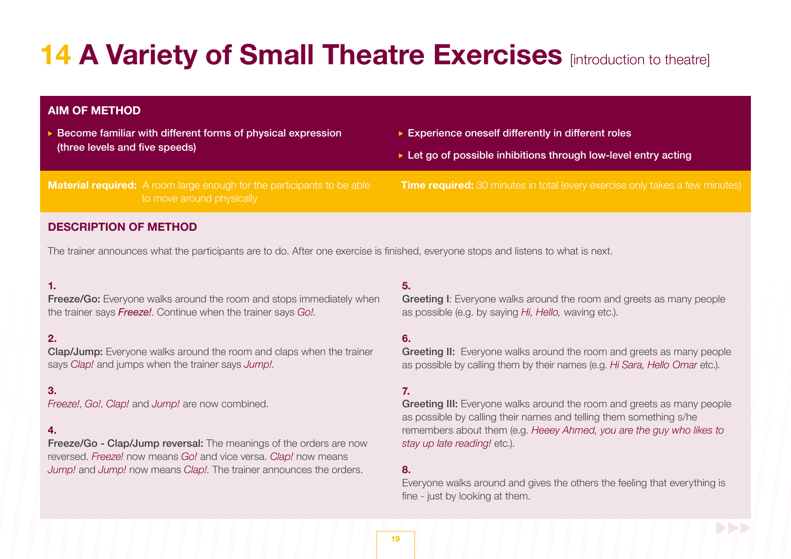# **14 A Variety of Small Theatre Exercises** [introduction to theatre]

# **AIM OF METHOD**

- Become familiar with different forms of physical expression (three levels and five speeds)
- ▶ Experience oneself differently in different roles
- $\triangleright$  Let go of possible inhibitions through low-level entry acting

**Material required:** A room large enough for the participants to be able to move around physically

**Time required:** 30 minutes in total (every exercise only takes a few minutes)

# **DESCRIPTION OF METHOD**

The trainer announces what the participants are to do. After one exercise is finished, everyone stops and listens to what is next.

# **1.**

Freeze/Go: Everyone walks around the room and stops immediately when the trainer says *Freeze!*. Continue when the trainer says *Go!*.

# **2.**

Clap/Jump: Everyone walks around the room and claps when the trainer says *Clap!* and jumps when the trainer says *Jump!*.

### **3.**

*Freeze!*, *Go!*, *Clap!* and *Jump!* are now combined.

### **4.**

**Freeze/Go - Clap/Jump reversal:** The meanings of the orders are now reversed. *Freeze!* now means *Go!* and vice versa. *Clap!* now means *Jump!* and *Jump!* now means *Clap!*. The trainer announces the orders.

#### **5.**

Greeting I: Everyone walks around the room and greets as many people as possible (e.g. by saying *Hi, Hello,* waving etc.).

# **6.**

**Greeting II:** Everyone walks around the room and greets as many people as possible by calling them by their names (e.g. *Hi Sara, Hello Omar* etc.).

# **7.**

Greeting III: Everyone walks around the room and greets as many people as possible by calling their names and telling them something s/he remembers about them (e.g. *Heeey Ahmed, you are the guy who likes to stay up late reading!* etc.).

#### **8.**

Everyone walks around and gives the others the feeling that everything is fine - just by looking at them.

**19**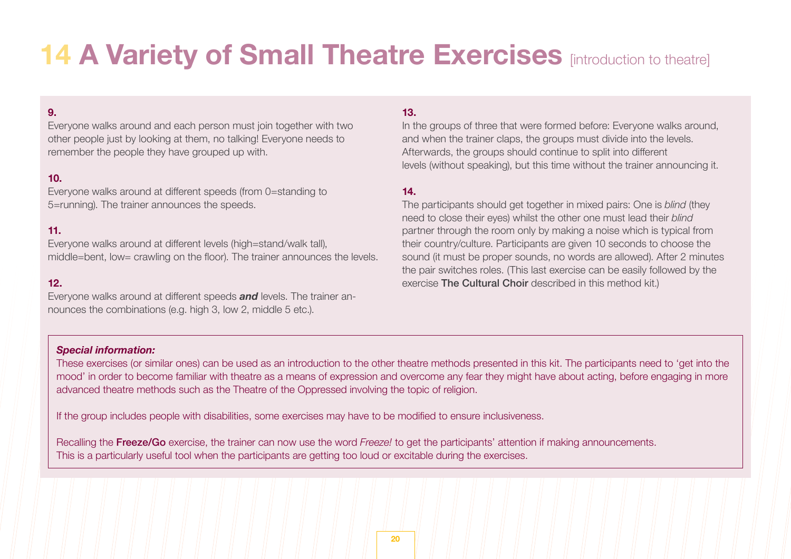# **14 A Variety of Small Theatre Exercises [introduction to theatre]**

# **9.**

Everyone walks around and each person must join together with two other people just by looking at them, no talking! Everyone needs to remember the people they have grouped up with.

### **10.**

Everyone walks around at different speeds (from 0=standing to 5=running). The trainer announces the speeds.

# **11.**

Everyone walks around at different levels (high=stand/walk tall), middle=bent, low= crawling on the floor). The trainer announces the levels.

#### **12.**

Everyone walks around at different speeds *and* levels. The trainer announces the combinations (e.g. high 3, low 2, middle 5 etc.).

# **13.**

In the groups of three that were formed before: Everyone walks around, and when the trainer claps, the groups must divide into the levels. Afterwards, the groups should continue to split into different levels (without speaking), but this time without the trainer announcing it.

# **14.**

The participants should get together in mixed pairs: One is *blind* (they need to close their eyes) whilst the other one must lead their *blind*  partner through the room only by making a noise which is typical from their country/culture. Participants are given 10 seconds to choose the sound (it must be proper sounds, no words are allowed). After 2 minutes the pair switches roles. (This last exercise can be easily followed by the exercise The Cultural Choir described in this method kit.)

#### *Special information:*

These exercises (or similar ones) can be used as an introduction to the other theatre methods presented in this kit. The participants need to 'get into the mood' in order to become familiar with theatre as a means of expression and overcome any fear they might have about acting, before engaging in more advanced theatre methods such as the Theatre of the Oppressed involving the topic of religion.

If the group includes people with disabilities, some exercises may have to be modified to ensure inclusiveness.

Recalling the Freeze/Go exercise, the trainer can now use the word *Freeze!* to get the participants' attention if making announcements. This is a particularly useful tool when the participants are getting too loud or excitable during the exercises.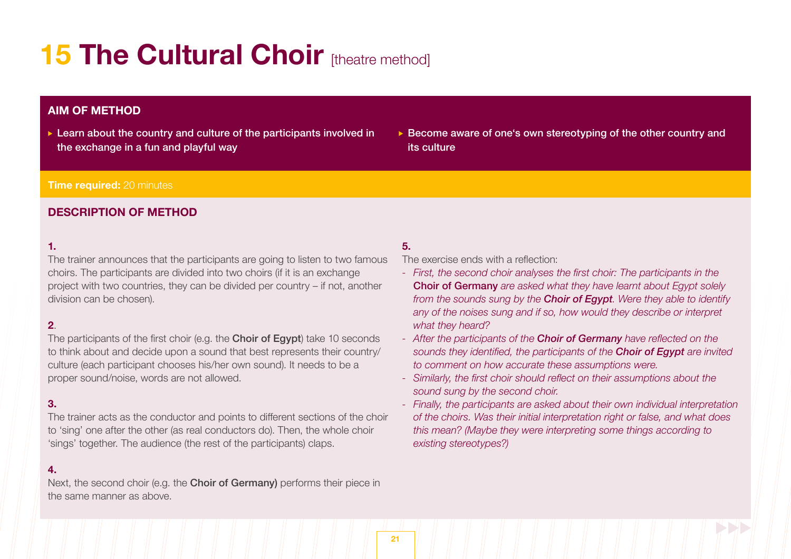# **15 The Cultural Choir [theatre method]**

# **AIM OF METHOD**

- $\triangleright$  Learn about the country and culture of the participants involved in the exchange in a fun and playful way
- ▶ Become aware of one's own stereotyping of the other country and its culture

### **Time required:** 20 minutes

# **DESCRIPTION OF METHOD**

## **1.**

The trainer announces that the participants are going to listen to two famous choirs. The participants are divided into two choirs (if it is an exchange project with two countries, they can be divided per country – if not, another division can be chosen).

# **2**.

The participants of the first choir (e.g. the **Choir of Egypt**) take 10 seconds to think about and decide upon a sound that best represents their country/ culture (each participant chooses his/her own sound). It needs to be a proper sound/noise, words are not allowed.

# **3.**

The trainer acts as the conductor and points to different sections of the choir to 'sing' one after the other (as real conductors do). Then, the whole choir 'sings' together. The audience (the rest of the participants) claps.

### **4.**

Next, the second choir (e.g. the **Choir of Germany)** performs their piece in the same manner as above.

# **5.**

The exercise ends with a reflection:

- *- First, the second choir analyses the first choir: The participants in the*  Choir of Germany *are asked what they have learnt about Egypt solely from the sounds sung by the Choir of Egypt. Were they able to identify any of the noises sung and if so, how would they describe or interpret what they heard?*
- *- After the participants of the Choir of Germany have reflected on the sounds they identified, the participants of the Choir of Egypt are invited to comment on how accurate these assumptions were.*
- *- Similarly, the first choir should reflect on their assumptions about the sound sung by the second choir.*
- *- Finally, the participants are asked about their own individual interpretation of the choirs. Was their initial interpretation right or false, and what does this mean? (Maybe they were interpreting some things according to existing stereotypes?)*

**21**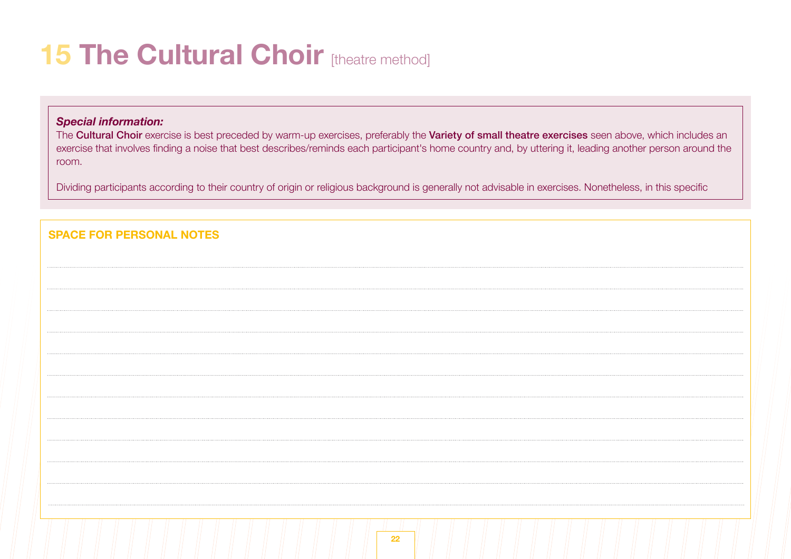# **15 The Cultural Choir [theatre method]**

# *Special information:*

The Cultural Choir exercise is best preceded by warm-up exercises, preferably the Variety of small theatre exercises seen above, which includes an exercise that involves finding a noise that best describes/reminds each participant's home country and, by uttering it, leading another person around the room.

Dividing participants according to their country of origin or religious background is generally not advisable in exercises. Nonetheless, in this specific

| <b>SPACE FOR PERSONAL NOTES</b> |  |
|---------------------------------|--|
|                                 |  |
|                                 |  |
|                                 |  |
|                                 |  |
|                                 |  |
|                                 |  |
|                                 |  |
|                                 |  |
|                                 |  |
|                                 |  |
|                                 |  |
|                                 |  |
| 22                              |  |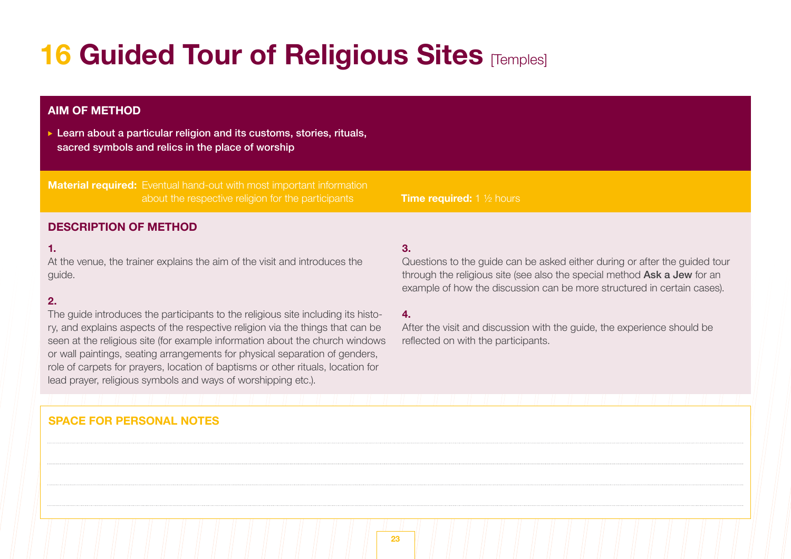# **16 Guided Tour of Religious Sites [Temples]**

# **AIM OF METHOD**

▶ Learn about a particular religion and its customs, stories, rituals, sacred symbols and relics in the place of worship

**Material required:** Eventual hand-out with most important information about the respective religion for the participants **Time required:** 1 ½ hours

# **DESCRIPTION OF METHOD**

### **1.**

At the venue, the trainer explains the aim of the visit and introduces the guide.

# **2.**

The guide introduces the participants to the religious site including its history, and explains aspects of the respective religion via the things that can be seen at the religious site (for example information about the church windows or wall paintings, seating arrangements for physical separation of genders, role of carpets for prayers, location of baptisms or other rituals, location for lead prayer, religious symbols and ways of worshipping etc.).

# **3.**

Questions to the guide can be asked either during or after the guided tour through the religious site (see also the special method Ask a Jew for an example of how the discussion can be more structured in certain cases).

#### **4.**

After the visit and discussion with the guide, the experience should be reflected on with the participants.

# **SPACE FOR PERSONAL NOTES**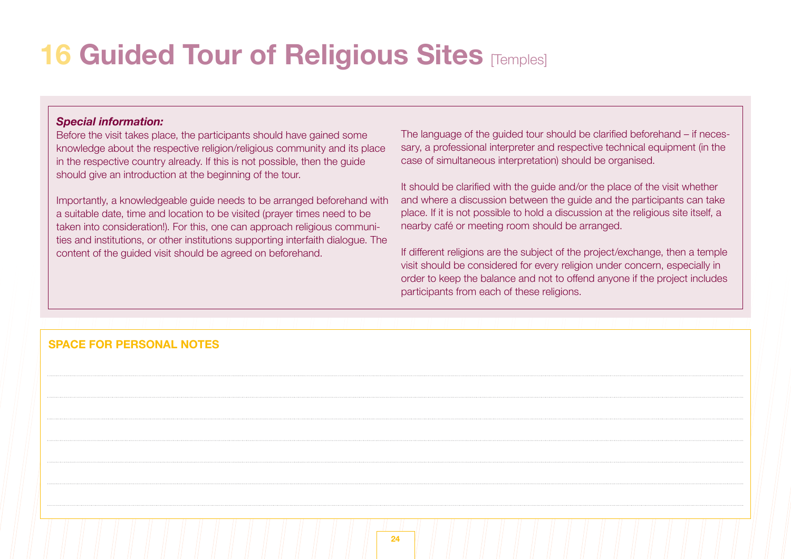# **16 Guided Tour of Religious Sites [Temples]**

### *Special information:*

Before the visit takes place, the participants should have gained some knowledge about the respective religion/religious community and its place in the respective country already. If this is not possible, then the guide should give an introduction at the beginning of the tour.

Importantly, a knowledgeable guide needs to be arranged beforehand with a suitable date, time and location to be visited (prayer times need to be taken into consideration!). For this, one can approach religious communities and institutions, or other institutions supporting interfaith dialogue. The content of the guided visit should be agreed on beforehand.

The language of the guided tour should be clarified beforehand – if necessary, a professional interpreter and respective technical equipment (in the case of simultaneous interpretation) should be organised.

It should be clarified with the guide and/or the place of the visit whether and where a discussion between the guide and the participants can take place. If it is not possible to hold a discussion at the religious site itself, a nearby café or meeting room should be arranged.

If different religions are the subject of the project/exchange, then a temple visit should be considered for every religion under concern, especially in order to keep the balance and not to offend anyone if the project includes participants from each of these religions.

# **SPACE FOR PERSONAL NOTES**

|  | 24 |  |
|--|----|--|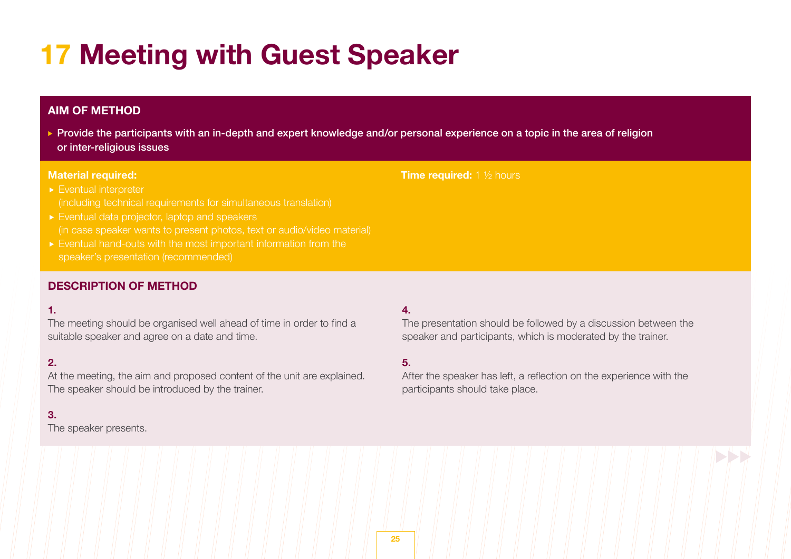# **17 Meeting with Guest Speaker**

# **AIM OF METHOD**

▶ Provide the participants with an in-depth and expert knowledge and/or personal experience on a topic in the area of religion or inter-religious issues

#### **Material required:**

# **Time required:** 1 <sup>1</sup>/<sub>2</sub> hours

- Eventual interpreter
- Eventual data projector, laptop and speakers
- Eventual hand-outs with the most important information from the

# **DESCRIPTION OF METHOD**

# **1.**

The meeting should be organised well ahead of time in order to find a suitable speaker and agree on a date and time.

# **2.**

At the meeting, the aim and proposed content of the unit are explained. The speaker should be introduced by the trainer.

## **3.**

The speaker presents.

# **4.**

The presentation should be followed by a discussion between the speaker and participants, which is moderated by the trainer.

# **5.**

After the speaker has left, a reflection on the experience with the participants should take place.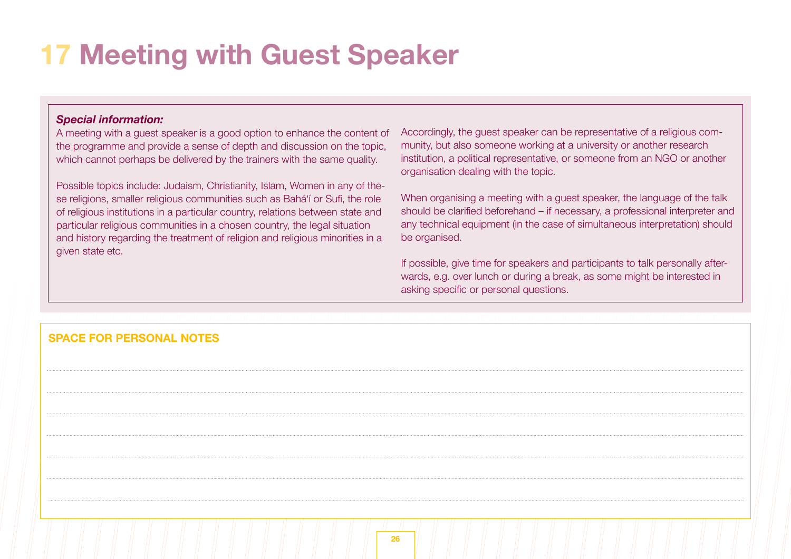# **17 Meeting with Guest Speaker**

# *Special information:*

A meeting with a guest speaker is a good option to enhance the content of the programme and provide a sense of depth and discussion on the topic, which cannot perhaps be delivered by the trainers with the same quality.

Possible topics include: Judaism, Christianity, Islam, Women in any of these religions, smaller religious communities such as Bahá'í or Sufi, the role of religious institutions in a particular country, relations between state and particular religious communities in a chosen country, the legal situation and history regarding the treatment of religion and religious minorities in a given state etc.

Accordingly, the guest speaker can be representative of a religious community, but also someone working at a university or another research institution, a political representative, or someone from an NGO or another organisation dealing with the topic.

When organising a meeting with a guest speaker, the language of the talk should be clarified beforehand – if necessary, a professional interpreter and any technical equipment (in the case of simultaneous interpretation) should be organised.

If possible, give time for speakers and participants to talk personally afterwards, e.g. over lunch or during a break, as some might be interested in asking specific or personal questions.

# **SPACE FOR PERSONAL NOTES**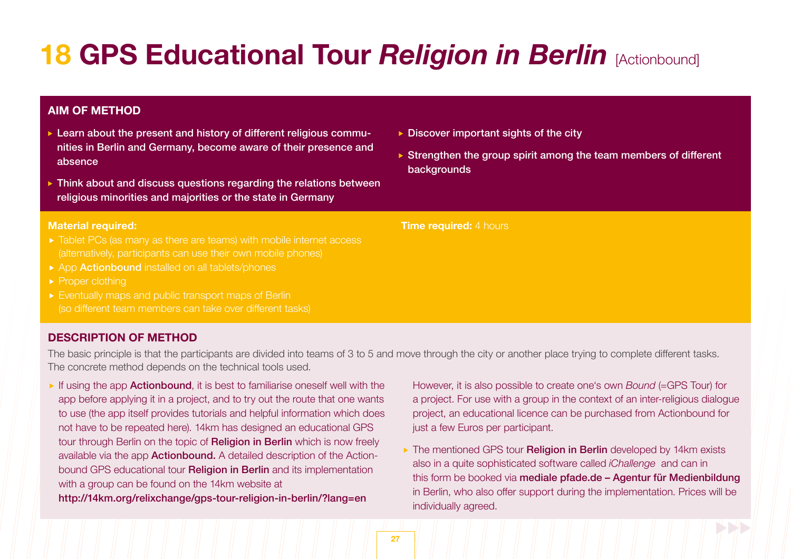# **18 GPS Educational Tour** *Religion in Berlin* **[Actionbound]**

# **AIM OF METHOD**

- ► Learn about the present and history of different religious communities in Berlin and Germany, become aware of their presence and absence
- **Think about and discuss questions regarding the relations between** religious minorities and majorities or the state in Germany

#### **Material required:**

- 
- ▶ App Actionbound installed on all tablets/phones
- $\blacktriangleright$  Proper clothing
- Eventually maps and public transport maps of Berlin (so different team members can take over different tasks)

# **DESCRIPTION OF METHOD**

The basic principle is that the participants are divided into teams of 3 to 5 and move through the city or another place trying to complete different tasks. The concrete method depends on the technical tools used.

If using the app **Actionbound**, it is best to familiarise oneself well with the app before applying it in a project, and to try out the route that one wants to use (the app itself provides tutorials and helpful information which does not have to be repeated here). 14km has designed an educational GPS tour through Berlin on the topic of Religion in Berlin which is now freely available via the app Actionbound. A detailed description of the Actionbound GPS educational tour **Religion in Berlin** and its implementation with a group can be found on the 14km website at

http://14km.org/relixchange/gps-tour-religion-in-berlin/?lang=en

- $\triangleright$  Discover important sights of the city
- $\triangleright$  Strengthen the group spirit among the team members of different backgrounds

**Time required:** 4 hours

 However, it is also possible to create one's own *Bound* (=GPS Tour) for a project. For use with a group in the context of an inter-religious dialogue project, an educational licence can be purchased from Actionbound for just a few Euros per participant.

▶ The mentioned GPS tour **Religion in Berlin** developed by 14km exists also in a quite sophisticated software called *iChallenge* and can in this form be booked via mediale pfade.de - Agentur für Medienbildung in Berlin, who also offer support during the implementation. Prices will be individually agreed.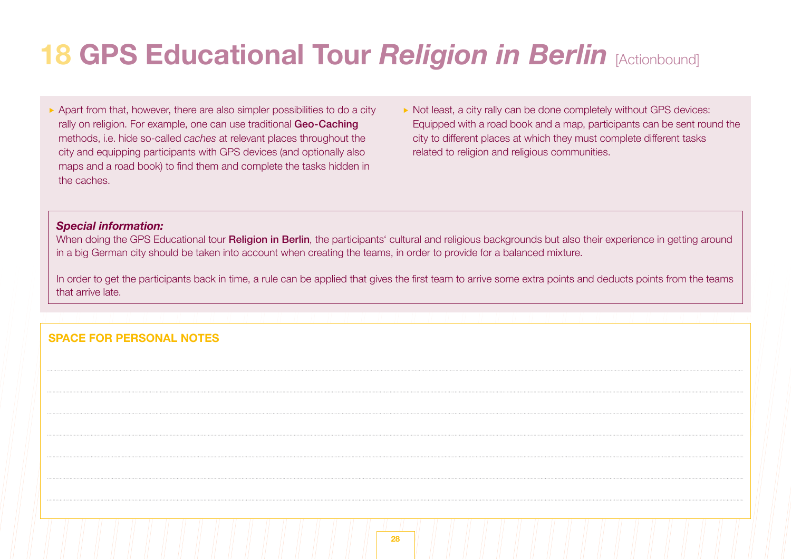# **18 GPS Educational Tour** *Religion in Berlin* **[Actionbound]**

- $\triangleright$  Apart from that, however, there are also simpler possibilities to do a city rally on religion. For example, one can use traditional Geo-Caching methods, i.e. hide so-called *caches* at relevant places throughout the city and equipping participants with GPS devices (and optionally also maps and a road book) to find them and complete the tasks hidden in the caches.
- Not least, a city rally can be done completely without GPS devices: Equipped with a road book and a map, participants can be sent round the city to different places at which they must complete different tasks related to religion and religious communities.

# *Special information:*

When doing the GPS Educational tour **Religion in Berlin**, the participants' cultural and religious backgrounds but also their experience in getting around in a big German city should be taken into account when creating the teams, in order to provide for a balanced mixture.

In order to get the participants back in time, a rule can be applied that gives the first team to arrive some extra points and deducts points from the teams that arrive late.

# **SPACE FOR PERSONAL NOTES**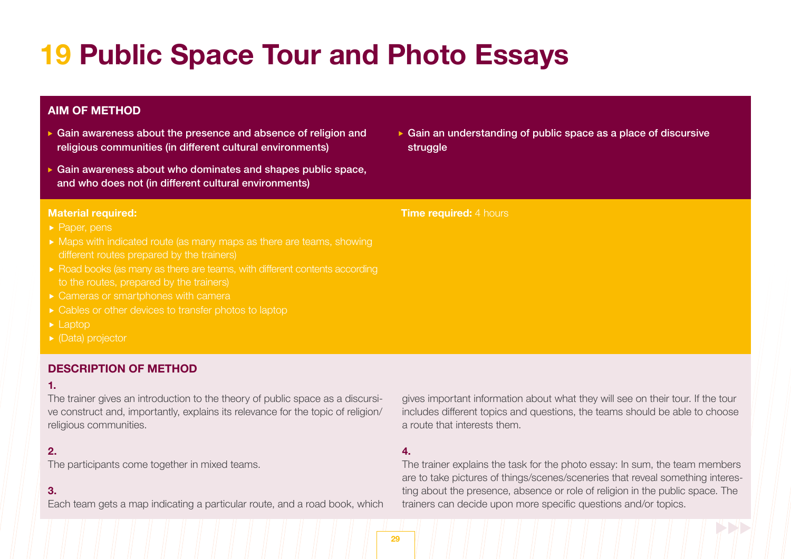# **19 Public Space Tour and Photo Essays**

# **AIM OF METHOD**

- Gain awareness about the presence and absence of religion and religious communities (in different cultural environments)
- Gain awareness about who dominates and shapes public space, and who does not (in different cultural environments)

#### **Material required:**

- Paper, pens
- 
- ► Road books (as many as there are teams, with different contents according
- ▶ Cameras or smartphones with camera
- 
- Laptop
- ▶ (Data) projector

# **DESCRIPTION OF METHOD**

### **1.**

The trainer gives an introduction to the theory of public space as a discursive construct and, importantly, explains its relevance for the topic of religion/ religious communities.

# **2.**

The participants come together in mixed teams.

### **3.**

Each team gets a map indicating a particular route, and a road book, which

► Gain an understanding of public space as a place of discursive struggle

#### **Time required:** 4 hours

gives important information about what they will see on their tour. If the tour includes different topics and questions, the teams should be able to choose a route that interests them.

### **4.**

The trainer explains the task for the photo essay: In sum, the team members are to take pictures of things/scenes/sceneries that reveal something interesting about the presence, absence or role of religion in the public space. The trainers can decide upon more specific questions and/or topics.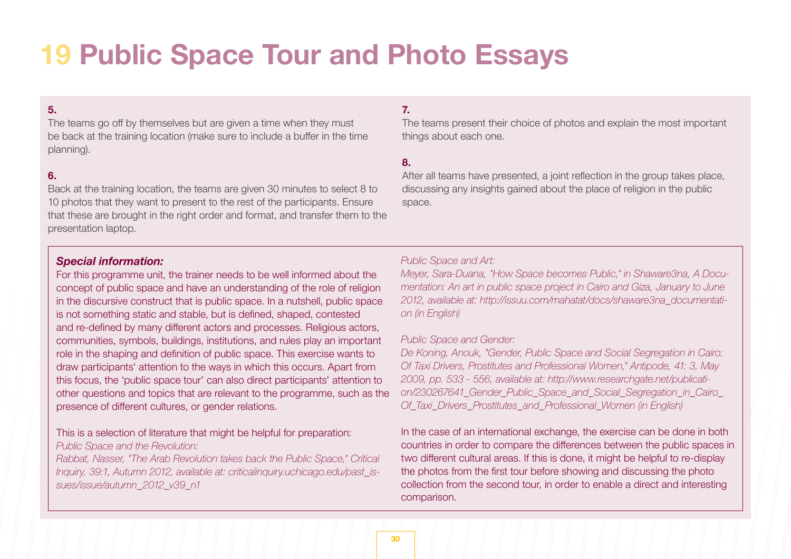# **19 Public Space Tour and Photo Essays**

# **5.**

The teams go off by themselves but are given a time when they must be back at the training location (make sure to include a buffer in the time planning).

#### **6.**

Back at the training location, the teams are given 30 minutes to select 8 to 10 photos that they want to present to the rest of the participants. Ensure that these are brought in the right order and format, and transfer them to the presentation laptop.

# **7.**

The teams present their choice of photos and explain the most important things about each one.

#### **8.**

After all teams have presented, a joint reflection in the group takes place, discussing any insights gained about the place of religion in the public space.

#### *Special information:*

For this programme unit, the trainer needs to be well informed about the concept of public space and have an understanding of the role of religion in the discursive construct that is public space. In a nutshell, public space is not something static and stable, but is defined, shaped, contested and re-defined by many different actors and processes. Religious actors, communities, symbols, buildings, institutions, and rules play an important role in the shaping and definition of public space. This exercise wants to draw participants' attention to the ways in which this occurs. Apart from this focus, the 'public space tour' can also direct participants' attention to other questions and topics that are relevant to the programme, such as the presence of different cultures, or gender relations.

# This is a selection of literature that might be helpful for preparation: *Public Space and the Revolution:*

*Rabbat, Nasser, "The Arab Revolution takes back the Public Space," Critical Inquiry, 39:1, Autumn 2012, available at: criticalinquiry.uchicago.edu/past\_issues/issue/autumn\_2012\_v39\_n1*

## *Public Space and Art:*

*Meyer, Sara-Duana, "How Space becomes Public," in Shaware3na, A Documentation: An art in public space project in Cairo and Giza, January to June 2012, available at: http://issuu.com/mahatat/docs/shaware3na\_documentation (in English)*

#### *Public Space and Gender:*

*De Koning, Anouk, "Gender, Public Space and Social Segregation in Cairo: Of Taxi Drivers, Prostitutes and Professional Women," Antipode, 41: 3, May 2009, pp. 533 - 556, available at: http://www.researchgate.net/publication/230267641\_Gender\_Public\_Space\_and\_Social\_Segregation\_in\_Cairo\_ Of\_Taxi\_Drivers\_Prostitutes\_and\_Professional\_Women (in English)*

In the case of an international exchange, the exercise can be done in both countries in order to compare the differences between the public spaces in two different cultural areas. If this is done, it might be helpful to re-display the photos from the first tour before showing and discussing the photo collection from the second tour, in order to enable a direct and interesting comparison.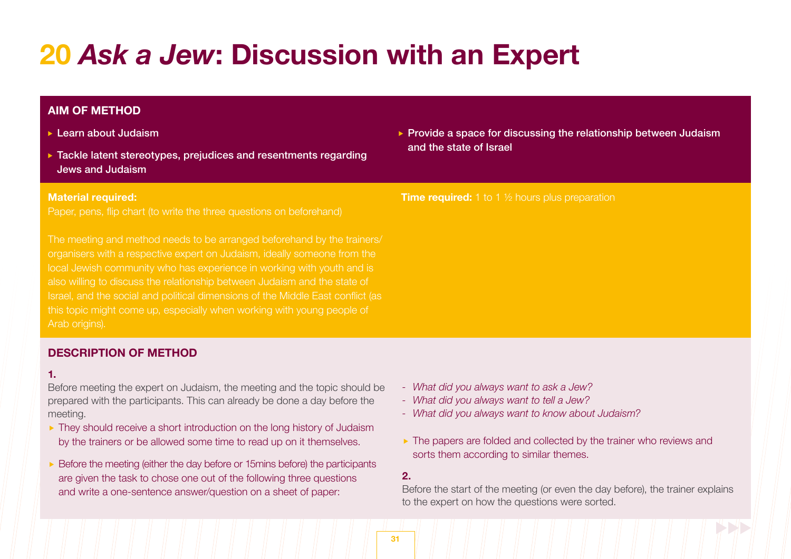# **20** *Ask a Jew***: Discussion with an Expert**

# **AIM OF METHOD**

- **Learn about Judaism**
- ▶ Tackle latent stereotypes, prejudices and resentments regarding Jews and Judaism

#### **Material required:**

Paper, pens, flip chart (to write the three questions on beforehand)

organisers with a respective expert on Judaism, ideally someone from the local Jewish community who has experience in working with youth and is also willing to discuss the relationship between Judaism and the state of Israel, and the social and political dimensions of the Middle East conflict (as this topic might come up, especially when working with young people of Arab origins).

# **DESCRIPTION OF METHOD**

#### **1.**

Before meeting the expert on Judaism, the meeting and the topic should be prepared with the participants. This can already be done a day before the meeting.

- ▶ They should receive a short introduction on the long history of Judaism by the trainers or be allowed some time to read up on it themselves.
- $\triangleright$  Before the meeting (either the day before or 15mins before) the participants are given the task to chose one out of the following three questions and write a one-sentence answer/question on a sheet of paper:

 $\triangleright$  Provide a space for discussing the relationship between Judaism and the state of Israel

#### **Time required:** 1 to 1 <sup>1</sup>/<sub>2</sub> hours plus preparation

- *- What did you always want to ask a Jew?*
- *- What did you always want to tell a Jew?*
- *- What did you always want to know about Judaism?*
- ▶ The papers are folded and collected by the trainer who reviews and sorts them according to similar themes.

### **2.**

Before the start of the meeting (or even the day before), the trainer explains to the expert on how the questions were sorted.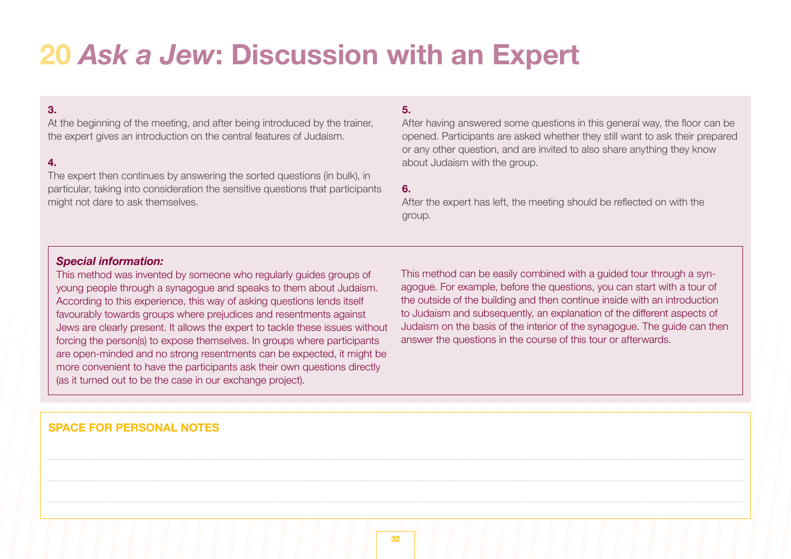# **20** *Ask a Jew***: Discussion with an Expert**

# **3.**

At the beginning of the meeting, and after being introduced by the trainer, the expert gives an introduction on the central features of Judaism.

# **4.**

The expert then continues by answering the sorted questions (in bulk), in particular, taking into consideration the sensitive questions that participants might not dare to ask themselves.

### **5.**

After having answered some questions in this general way, the floor can be opened. Participants are asked whether they still want to ask their prepared or any other question, and are invited to also share anything they know about Judaism with the group.

#### **6.**

After the expert has left, the meeting should be reflected on with the group.

# *Special information:*

This method was invented by someone who regularly guides groups of young people through a synagogue and speaks to them about Judaism. According to this experience, this way of asking questions lends itself favourably towards groups where prejudices and resentments against Jews are clearly present. It allows the expert to tackle these issues without forcing the person(s) to expose themselves. In groups where participants are open-minded and no strong resentments can be expected, it might be more convenient to have the participants ask their own questions directly (as it turned out to be the case in our exchange project).

This method can be easily combined with a guided tour through a synagogue. For example, before the questions, you can start with a tour of the outside of the building and then continue inside with an introduction to Judaism and subsequently, an explanation of the different aspects of Judaism on the basis of the interior of the synagogue. The guide can then answer the questions in the course of this tour or afterwards.

# **SPACE FOR PERSONAL NOTES**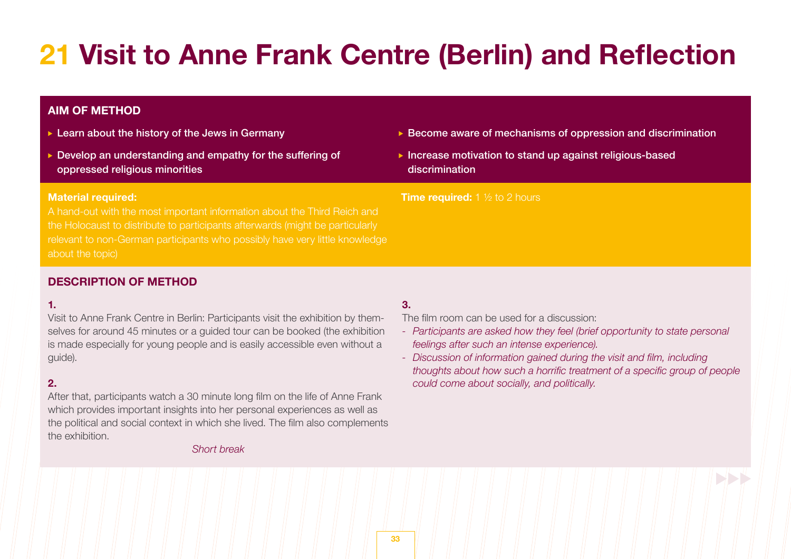# **21 Visit to Anne Frank Centre (Berlin) and Reflection**

# **AIM OF METHOD**

- $\blacktriangleright$  Learn about the history of the Jews in Germany
- Develop an understanding and empathy for the suffering of oppressed religious minorities

#### **Material required:**

A hand-out with the most important information about the Third Reich and the Holocaust to distribute to participants afterwards (might be particularly relevant to non-German participants who possibly have very little knowledge about the topic)

- $\triangleright$  Become aware of mechanisms of oppression and discrimination
- $\triangleright$  Increase motivation to stand up against religious-based discrimination

#### **Time required:** 1 <sup>1</sup>/<sub>2</sub> to 2 hours

# **DESCRIPTION OF METHOD**

#### **1.**

Visit to Anne Frank Centre in Berlin: Participants visit the exhibition by themselves for around 45 minutes or a guided tour can be booked (the exhibition is made especially for young people and is easily accessible even without a guide).

# **2.**

After that, participants watch a 30 minute long film on the life of Anne Frank which provides important insights into her personal experiences as well as the political and social context in which she lived. The film also complements the exhibition.

#### *Short break*

# **3.**

The film room can be used for a discussion:

- *- Participants are asked how they feel (brief opportunity to state personal feelings after such an intense experience).*
- *- Discussion of information gained during the visit and film, including thoughts about how such a horrific treatment of a specific group of people could come about socially, and politically.*

BBB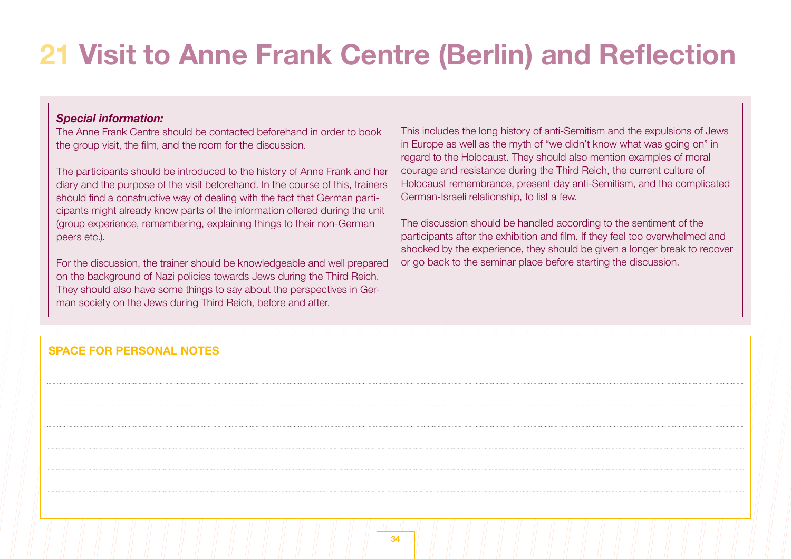# **21 Visit to Anne Frank Centre (Berlin) and Reflection**

# *Special information:*

The Anne Frank Centre should be contacted beforehand in order to book the group visit, the film, and the room for the discussion.

The participants should be introduced to the history of Anne Frank and her diary and the purpose of the visit beforehand. In the course of this, trainers should find a constructive way of dealing with the fact that German participants might already know parts of the information offered during the unit (group experience, remembering, explaining things to their non-German peers etc.).

For the discussion, the trainer should be knowledgeable and well prepared on the background of Nazi policies towards Jews during the Third Reich. They should also have some things to say about the perspectives in German society on the Jews during Third Reich, before and after.

This includes the long history of anti-Semitism and the expulsions of Jews in Europe as well as the myth of "we didn't know what was going on" in regard to the Holocaust. They should also mention examples of moral courage and resistance during the Third Reich, the current culture of Holocaust remembrance, present day anti-Semitism, and the complicated German-Israeli relationship, to list a few.

The discussion should be handled according to the sentiment of the participants after the exhibition and film. If they feel too overwhelmed and shocked by the experience, they should be given a longer break to recover or go back to the seminar place before starting the discussion.

# **SPACE FOR PERSONAL NOTES**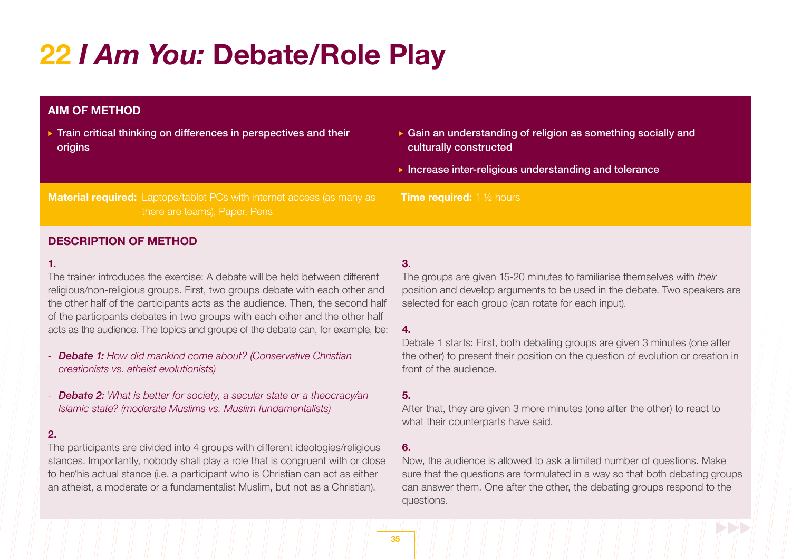# **22** *I Am You:* **Debate/Role Play**

# **AIM OF METHOD**

- ▶ Train critical thinking on differences in perspectives and their origins
- Gain an understanding of religion as something socially and culturally constructed
- $\blacktriangleright$  Increase inter-religious understanding and tolerance

**Material required:** Laptops/tablet PCs with internet access (as many as there are teams), Paper, Pens

# **DESCRIPTION OF METHOD**

#### **1.**

The trainer introduces the exercise: A debate will be held between different religious/non-religious groups. First, two groups debate with each other and the other half of the participants acts as the audience. Then, the second half of the participants debates in two groups with each other and the other half acts as the audience. The topics and groups of the debate can, for example, be:

- *- Debate 1: How did mankind come about? (Conservative Christian creationists vs. atheist evolutionists)*
- *- Debate 2: What is better for society, a secular state or a theocracy/an Islamic state? (moderate Muslims vs. Muslim fundamentalists)*

### **2.**

The participants are divided into 4 groups with different ideologies/religious stances. Importantly, nobody shall play a role that is congruent with or close to her/his actual stance (i.e. a participant who is Christian can act as either an atheist, a moderate or a fundamentalist Muslim, but not as a Christian).

### **3.**

**Time required:** 1 <sup>1</sup>/<sub>2</sub> hours

The groups are given 15-20 minutes to familiarise themselves with *their*  position and develop arguments to be used in the debate. Two speakers are selected for each group (can rotate for each input).

### **4.**

Debate 1 starts: First, both debating groups are given 3 minutes (one after the other) to present their position on the question of evolution or creation in front of the audience.

### **5.**

After that, they are given 3 more minutes (one after the other) to react to what their counterparts have said.

### **6.**

Now, the audience is allowed to ask a limited number of questions. Make sure that the questions are formulated in a way so that both debating groups can answer them. One after the other, the debating groups respond to the questions.

**35**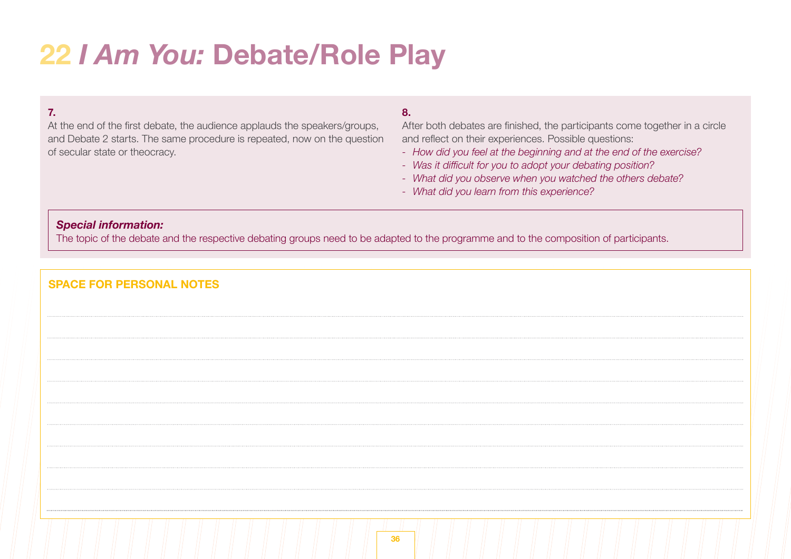# **22** *I Am You:* **Debate/Role Play**

# **7.**

At the end of the first debate, the audience applauds the speakers/groups, and Debate 2 starts. The same procedure is repeated, now on the question of secular state or theocracy.

# **8.**

After both debates are finished, the participants come together in a circle and reflect on their experiences. Possible questions:

- *- How did you feel at the beginning and at the end of the exercise?*
- *- Was it difficult for you to adopt your debating position?*
- *- What did you observe when you watched the others debate?*
- *- What did you learn from this experience?*

### *Special information:*

The topic of the debate and the respective debating groups need to be adapted to the programme and to the composition of participants.

| <b>SPACE FOR PERSONAL NOTES</b> |
|---------------------------------|
|                                 |
|                                 |
|                                 |
|                                 |
|                                 |
|                                 |
|                                 |
|                                 |
|                                 |
|                                 |
| 36                              |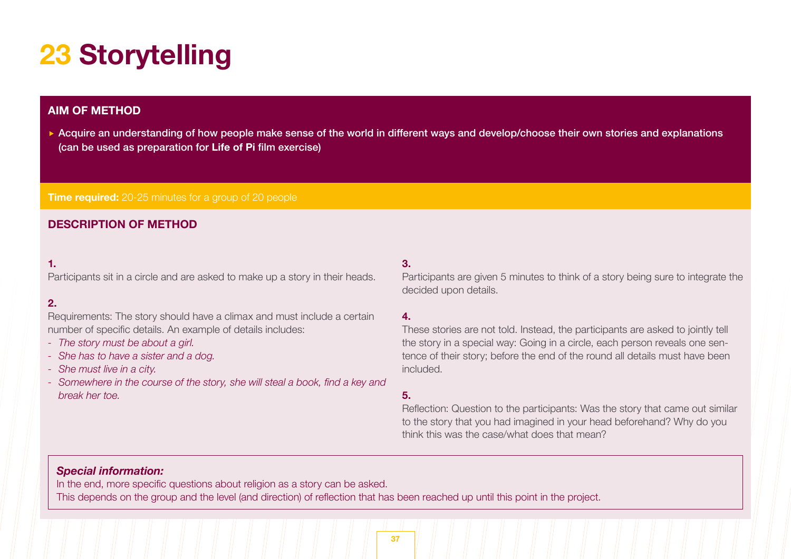# **23 Storytelling**

# **AIM OF METHOD**

Acquire an understanding of how people make sense of the world in different ways and develop/choose their own stories and explanations (can be used as preparation for **Life of Pi** film exercise)

**Time required:** 20-25 minutes for a group of 20 people

# **DESCRIPTION OF METHOD**

### **1.**

Participants sit in a circle and are asked to make up a story in their heads.

# **2.**

Requirements: The story should have a climax and must include a certain number of specific details. An example of details includes:

- *- The story must be about a girl.*
- *- She has to have a sister and a dog.*
- *- She must live in a city.*
- *- Somewhere in the course of the story, she will steal a book, find a key and break her toe.*

# **3.**

Participants are given 5 minutes to think of a story being sure to integrate the decided upon details.

#### **4.**

These stories are not told. Instead, the participants are asked to jointly tell the story in a special way: Going in a circle, each person reveals one sentence of their story; before the end of the round all details must have been included.

# **5.**

Reflection: Question to the participants: Was the story that came out similar to the story that you had imagined in your head beforehand? Why do you think this was the case/what does that mean?

# *Special information:*

In the end, more specific questions about religion as a story can be asked. This depends on the group and the level (and direction) of reflection that has been reached up until this point in the project.

**37**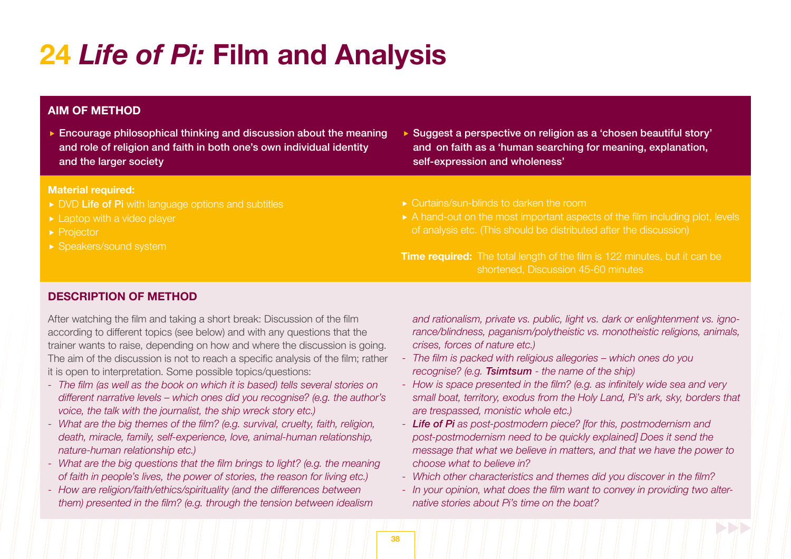# **24** *Life of Pi:* **Film and Analysis**

# **AIM OF METHOD**

 Encourage philosophical thinking and discussion about the meaning and role of religion and faith in both one's own individual identity and the larger society

#### **Material required:**

- DVD Life of Pi with language options and subtitles
- ► Laptop with a video player
- ▶ Projector
- ▶ Speakers/sound system
- ▶ Suggest a perspective on religion as a 'chosen beautiful story' and on faith as a 'human searching for meaning, explanation, self-expression and wholeness'
- ▶ Curtains/sun-blinds to darken the room
- A hand-out on the most important aspects of the film including plot, levels

**Time required:** The total length of the film is 122 minutes, but it can be shortened, Discussion 45-60 minutes

# **DESCRIPTION OF METHOD**

After watching the film and taking a short break: Discussion of the film according to different topics (see below) and with any questions that the trainer wants to raise, depending on how and where the discussion is going. The aim of the discussion is not to reach a specific analysis of the film; rather it is open to interpretation. Some possible topics/questions:

- *- The film (as well as the book on which it is based) tells several stories on different narrative levels – which ones did you recognise? (e.g. the author's voice, the talk with the journalist, the ship wreck story etc.)*
- *- What are the big themes of the film? (e.g. survival, cruelty, faith, religion, death, miracle, family, self-experience, love, animal-human relationship, nature-human relationship etc.)*
- *- What are the big questions that the film brings to light? (e.g. the meaning of faith in people's lives, the power of stories, the reason for living etc.)*
- *- How are religion/faith/ethics/spirituality (and the differences between them) presented in the film? (e.g. through the tension between idealism*

*and rationalism, private vs. public, light vs. dark or enlightenment vs. ignorance/blindness, paganism/polytheistic vs. monotheistic religions, animals, crises, forces of nature etc.)*

- *- The film is packed with religious allegories – which ones do you recognise? (e.g. Tsimtsum - the name of the ship)*
- *- How is space presented in the film? (e.g. as infinitely wide sea and very small boat, territory, exodus from the Holy Land, Pi's ark, sky, borders that are trespassed, monistic whole etc.)*
- *- Life of Pi as post-postmodern piece? [for this, postmodernism and post-postmodernism need to be quickly explained] Does it send the message that what we believe in matters, and that we have the power to choose what to believe in?*
- *- Which other characteristics and themes did you discover in the film?*
- *- In your opinion, what does the film want to convey in providing two alter- native stories about Pi's time on the boat?*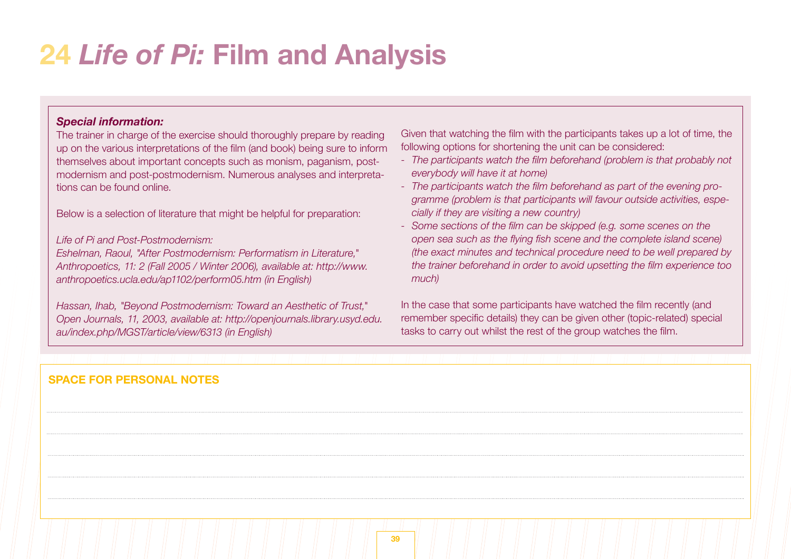# **24** *Life of Pi:* **Film and Analysis**

# *Special information:*

The trainer in charge of the exercise should thoroughly prepare by reading up on the various interpretations of the film (and book) being sure to inform themselves about important concepts such as monism, paganism, postmodernism and post-postmodernism. Numerous analyses and interpretations can be found online.

Below is a selection of literature that might be helpful for preparation:

### *Life of Pi and Post-Postmodernism:*

*Eshelman, Raoul, "After Postmodernism: Performatism in Literature," Anthropoetics, 11: 2 (Fall 2005 / Winter 2006), available at: http://www. anthropoetics.ucla.edu/ap1102/perform05.htm (in English)*

*Hassan, Ihab, "Beyond Postmodernism: Toward an Aesthetic of Trust," Open Journals, 11, 2003, available at: http://openjournals.library.usyd.edu. au/index.php/MGST/article/view/6313 (in English)*

Given that watching the film with the participants takes up a lot of time, the following options for shortening the unit can be considered:

- *- The participants watch the film beforehand (problem is that probably not everybody will have it at home)*
- *- The participants watch the film beforehand as part of the evening pro gramme (problem is that participants will favour outside activities, especially if they are visiting a new country)*
- *- Some sections of the film can be skipped (e.g. some scenes on the open sea such as the flying fish scene and the complete island scene) (the exact minutes and technical procedure need to be well prepared by the trainer beforehand in order to avoid upsetting the film experience too much)*

In the case that some participants have watched the film recently (and remember specific details) they can be given other (topic-related) special tasks to carry out whilst the rest of the group watches the film.

# **SPACE FOR PERSONAL NOTES**

. . . . . .

 $1.1.1.1$ 

 $1.1.1.1$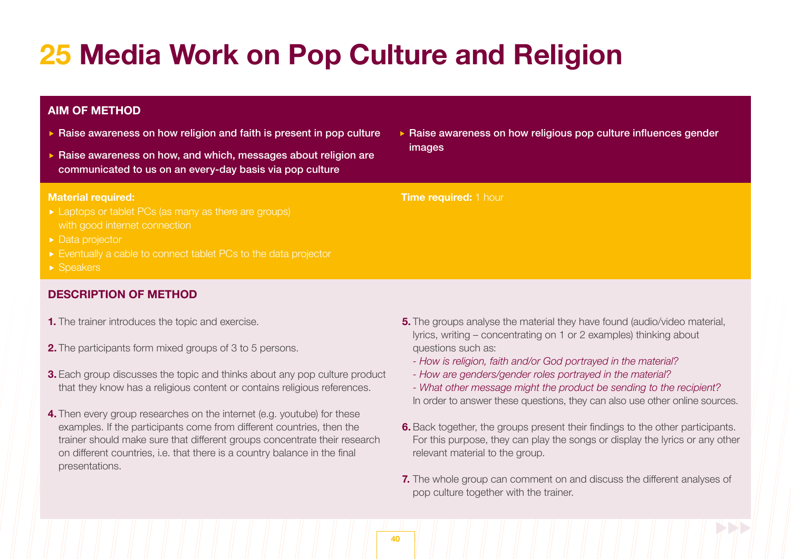# **25 Media Work on Pop Culture and Religion**

# **AIM OF METHOD**

- $\triangleright$  Raise awareness on how religion and faith is present in pop culture
- $\triangleright$  Raise awareness on how, and which, messages about religion are communicated to us on an every-day basis via pop culture

#### **Material required:**

- ► Laptops or tablet PCs (as many as there are groups) with good internet connection
- 
- Eventually a cable to connect tablet PCs to the data projector
- ▶ Speakers

# **DESCRIPTION OF METHOD**

- **1.** The trainer introduces the topic and exercise.
- **2.** The participants form mixed groups of 3 to 5 persons.
- **3.** Each group discusses the topic and thinks about any pop culture product that they know has a religious content or contains religious references.
- **4.** Then every group researches on the internet (e.g. youtube) for these examples. If the participants come from different countries, then the trainer should make sure that different groups concentrate their research on different countries, i.e. that there is a country balance in the final presentations.

▶ Raise awareness on how religious pop culture influences gender images

#### **Time required:** 1 hour

- **5.** The groups analyse the material they have found (audio/video material, lyrics, writing – concentrating on 1 or 2 examples) thinking about questions such as:
	- *- How is religion, faith and/or God portrayed in the material?*
	- *How are genders/gender roles portrayed in the material?*
	- *What other message might the product be sending to the recipient?* In order to answer these questions, they can also use other online sources.
- **6.** Back together, the groups present their findings to the other participants. For this purpose, they can play the songs or display the lyrics or any other relevant material to the group.
- **7.** The whole group can comment on and discuss the different analyses of pop culture together with the trainer.

**40**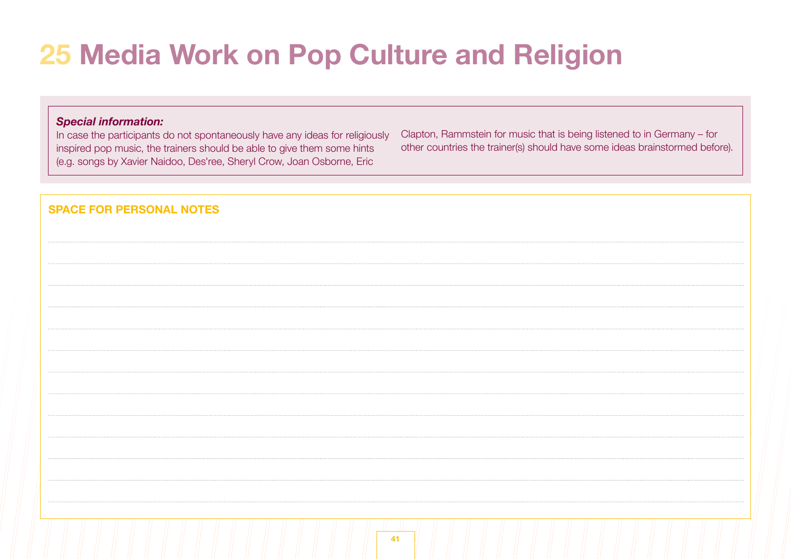# **25 Media Work on Pop Culture and Religion**

# *Special information:*

In case the participants do not spontaneously have any ideas for religiously inspired pop music, the trainers should be able to give them some hints (e.g. songs by Xavier Naidoo, Des'ree, Sheryl Crow, Joan Osborne, Eric

Clapton, Rammstein for music that is being listened to in Germany – for other countries the trainer(s) should have some ideas brainstormed before).

| <b>SPACE FOR PERSONAL NOTES</b> |  |
|---------------------------------|--|
|                                 |  |
|                                 |  |
|                                 |  |
|                                 |  |
|                                 |  |
|                                 |  |
|                                 |  |
|                                 |  |
|                                 |  |
|                                 |  |
|                                 |  |
|                                 |  |
|                                 |  |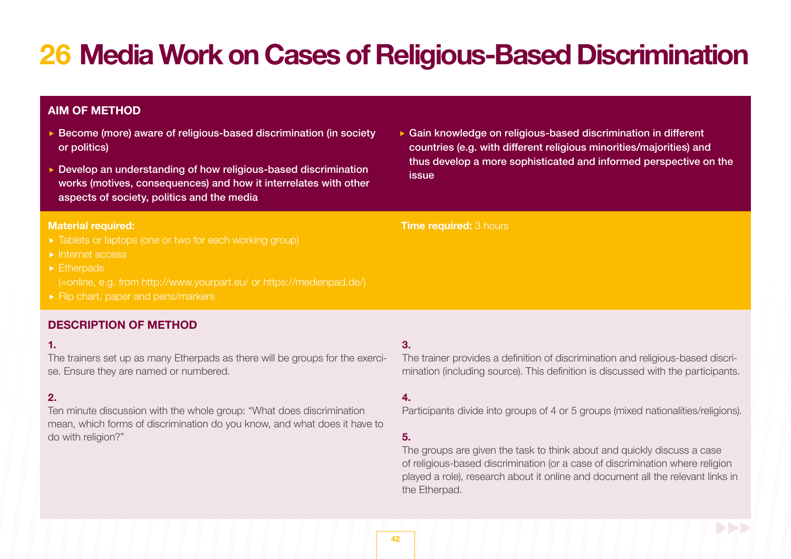# **26 Media Work on Cases of Religious-Based Discrimination**

# **AIM OF METHOD**

- ▶ Become (more) aware of religious-based discrimination (in society or politics)
- ▶ Develop an understanding of how religious-based discrimination works (motives, consequences) and how it interrelates with other aspects of society, politics and the media

#### **Material required:**

- 
- $\blacktriangleright$  Internet access
- **Etherpads** 
	- (=online, e.g. from http://www.yourpart.eu/ or https://medienpad.de/)
- Flip chart, paper and pens/markers

# **DESCRIPTION OF METHOD**

#### **1.**

The trainers set up as many Etherpads as there will be groups for the exercise. Ensure they are named or numbered.

# **2.**

Ten minute discussion with the whole group: "What does discrimination mean, which forms of discrimination do you know, and what does it have to do with religion?"

▶ Gain knowledge on religious-based discrimination in different countries (e.g. with different religious minorities/majorities) and thus develop a more sophisticated and informed perspective on the issue

#### **Time required:** 3 hours

#### **3.**

The trainer provides a definition of discrimination and religious-based discrimination (including source). This definition is discussed with the participants.

### **4.**

Participants divide into groups of 4 or 5 groups (mixed nationalities/religions).

## **5.**

The groups are given the task to think about and quickly discuss a case of religious-based discrimination (or a case of discrimination where religion played a role), research about it online and document all the relevant links in the Etherpad.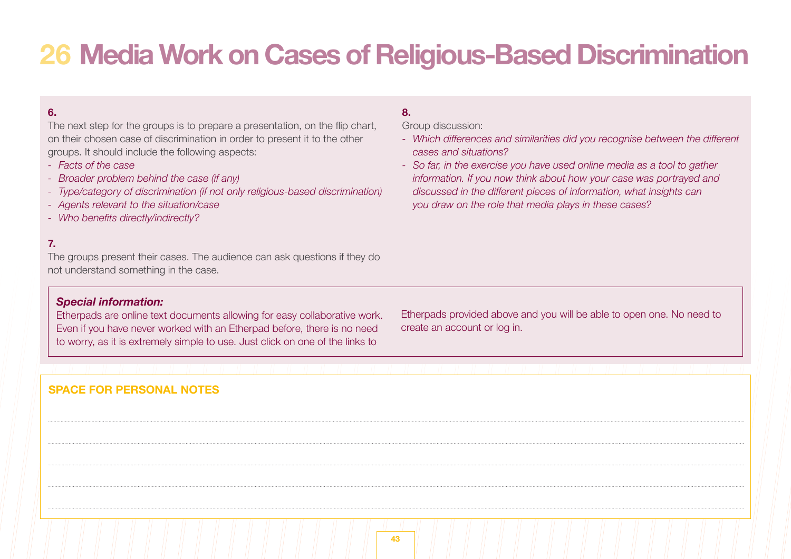# **26 Media Work on Cases of Religious-Based Discrimination**

# **6.**

The next step for the groups is to prepare a presentation, on the flip chart, on their chosen case of discrimination in order to present it to the other groups. It should include the following aspects:

- *Facts of the case*
- *Broader problem behind the case (if any)*
- *Type/category of discrimination (if not only religious-based discrimination)*
- *Agents relevant to the situation/case*
- *- Who benefits directly/indirectly?*

# **7.**

The groups present their cases. The audience can ask questions if they do not understand something in the case.

# *Special information:*

Etherpads are online text documents allowing for easy collaborative work. Even if you have never worked with an Etherpad before, there is no need to worry, as it is extremely simple to use. Just click on one of the links to

Etherpads provided above and you will be able to open one. No need to create an account or log in.

# **SPACE FOR PERSONAL NOTES**

# **8.**

Group discussion:

- *- Which differences and similarities did you recognise between the different cases and situations?*
- *- So far, in the exercise you have used online media as a tool to gather information. If you now think about how your case was portrayed and discussed in the different pieces of information, what insights can you draw on the role that media plays in these cases?*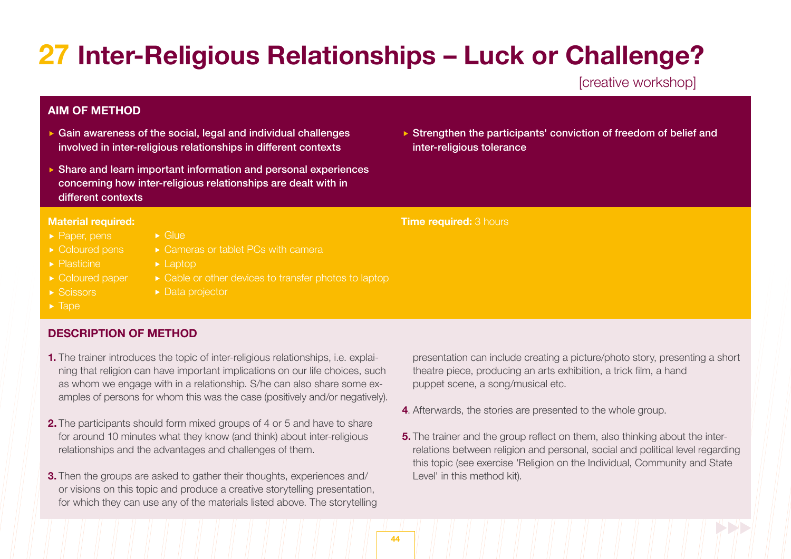# **27 Inter-Religious Relationships – Luck or Challenge?**

[creative workshop]

# **AIM OF METHOD**

- $\triangleright$  Gain awareness of the social, legal and individual challenges involved in inter-religious relationships in different contexts
- Share and learn important information and personal experiences concerning how inter-religious relationships are dealt with in different contexts

► Cameras or tablet PCs with camera

▶ Cable or other devices to transfer photos to laptop

Glue

► Laptop

▶ Data projector

### **Material required:**

- ▶ Paper, pens
- Coloured pens
- **Plasticine**
- Coloured paper
- $\triangleright$  Scissors
- $\blacktriangleright$  Tape

# **DESCRIPTION OF METHOD**

- **1.** The trainer introduces the topic of inter-religious relationships, i.e. explai- ning that religion can have important implications on our life choices, such as whom we engage with in a relationship. S/he can also share some examples of persons for whom this was the case (positively and/or negatively).
- **2.** The participants should form mixed groups of 4 or 5 and have to share for around 10 minutes what they know (and think) about inter-religious relationships and the advantages and challenges of them.
- **3.** Then the groups are asked to gather their thoughts, experiences and/ or visions on this topic and produce a creative storytelling presentation, for which they can use any of the materials listed above. The storytelling

▶ Strengthen the participants' conviction of freedom of belief and inter-religious tolerance

**Time required:** 3 hours

- presentation can include creating a picture/photo story, presenting a short theatre piece, producing an arts exhibition, a trick film, a hand puppet scene, a song/musical etc.
- **4**. Afterwards, the stories are presented to the whole group.
- **5.** The trainer and the group reflect on them, also thinking about the inter- relations between religion and personal, social and political level regarding this topic (see exercise 'Religion on the Individual, Community and State Level' in this method kit).

**44**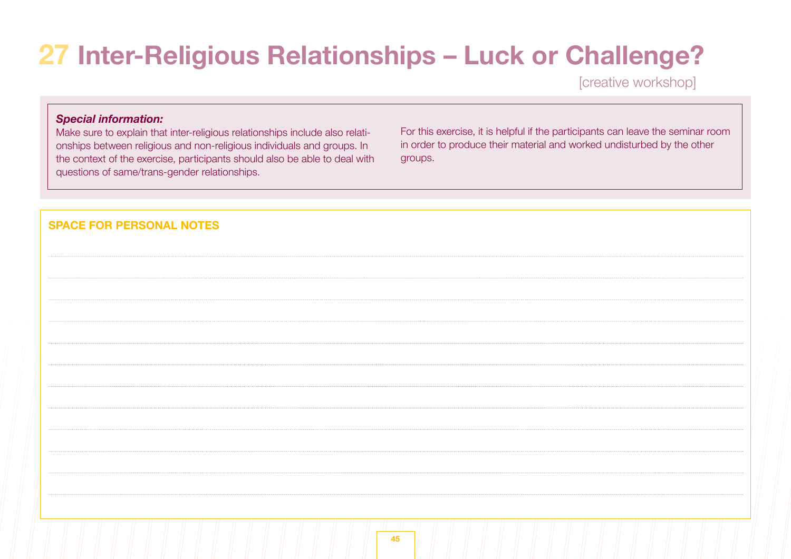# **27 Inter-Religious Relationships – Luck or Challenge?**

[creative workshop]

# *Special information:*

Make sure to explain that inter-religious relationships include also relationships between religious and non-religious individuals and groups. In the context of the exercise, participants should also be able to deal with questions of same/trans-gender relationships.

For this exercise, it is helpful if the participants can leave the seminar room in order to produce their material and worked undisturbed by the other groups.

| <b>SPACE FOR PERSONAL NOTES</b> |    |
|---------------------------------|----|
|                                 |    |
|                                 |    |
|                                 |    |
|                                 |    |
|                                 |    |
|                                 |    |
|                                 |    |
|                                 |    |
|                                 |    |
|                                 |    |
|                                 | 45 |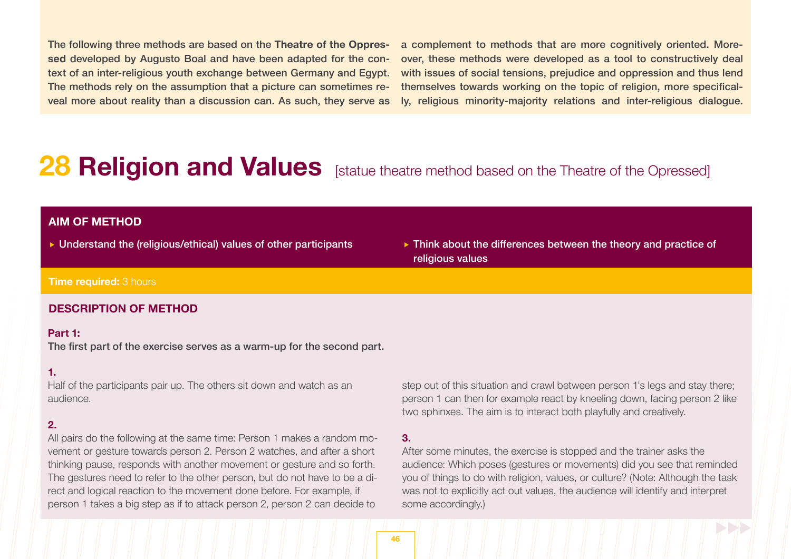The following three methods are based on the **Theatre of the Oppressed** developed by Augusto Boal and have been adapted for the context of an inter-religious youth exchange between Germany and Egypt. The methods rely on the assumption that a picture can sometimes reveal more about reality than a discussion can. As such, they serve as a complement to methods that are more cognitively oriented. Moreover, these methods were developed as a tool to constructively deal with issues of social tensions, prejudice and oppression and thus lend themselves towards working on the topic of religion, more specifically, religious minority-majority relations and inter-religious dialogue.

# **28 Religion and Values** [statue theatre method based on the Theatre of the Opressed]

# **AIM OF METHOD**

- 
- Understand the (religious/ethical) values of other participants Think about the differences between the theory and practice of religious values

### **Time required:** 3 hours

#### **DESCRIPTION OF METHOD**

#### **Part 1:**

The first part of the exercise serves as a warm-up for the second part.

#### **1.**

Half of the participants pair up. The others sit down and watch as an audience.

#### **2.**

All pairs do the following at the same time: Person 1 makes a random movement or gesture towards person 2. Person 2 watches, and after a short thinking pause, responds with another movement or gesture and so forth. The gestures need to refer to the other person, but do not have to be a direct and logical reaction to the movement done before. For example, if person 1 takes a big step as if to attack person 2, person 2 can decide to

step out of this situation and crawl between person 1's legs and stay there; person 1 can then for example react by kneeling down, facing person 2 like two sphinxes. The aim is to interact both playfully and creatively.

#### **3.**

After some minutes, the exercise is stopped and the trainer asks the audience: Which poses (gestures or movements) did you see that reminded you of things to do with religion, values, or culture? (Note: Although the task was not to explicitly act out values, the audience will identify and interpret some accordingly.)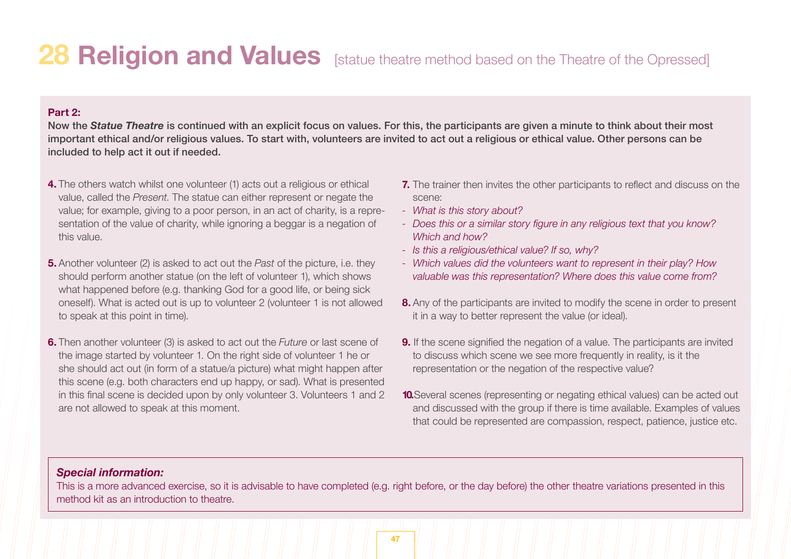# **28 Religion and Values** [statue theatre method based on the Theatre of the Opressed]

# **Part 2:**

Now the *Statue Theatre* is continued with an explicit focus on values. For this, the participants are given a minute to think about their most important ethical and/or religious values. To start with, volunteers are invited to act out a religious or ethical value. Other persons can be included to help act it out if needed.

- **4.** The others watch whilst one volunteer (1) acts out a religious or ethical value, called the *Present*. The statue can either represent or negate the value; for example, giving to a poor person, in an act of charity, is a repre sentation of the value of charity, while ignoring a beggar is a negation of this value.
- **5.** Another volunteer (2) is asked to act out the *Past* of the picture, i.e. they should perform another statue (on the left of volunteer 1), which shows what happened before (e.g. thanking God for a good life, or being sick oneself). What is acted out is up to volunteer 2 (volunteer 1 is not allowed to speak at this point in time).
- **6.** Then another volunteer (3) is asked to act out the *Future* or last scene of the image started by volunteer 1. On the right side of volunteer 1 he or she should act out (in form of a statue/a picture) what might happen after this scene (e.g. both characters end up happy, or sad). What is presented in this final scene is decided upon by only volunteer 3. Volunteers 1 and 2 are not allowed to speak at this moment.
- **7.** The trainer then invites the other participants to reflect and discuss on the scene:
- *- What is this story about?*
- *- Does this or a similar story figure in any religious text that you know? Which and how?*
- *- Is this a religious/ethical value? If so, why?*
- *- Which values did the volunteers want to represent in their play? How valuable was this representation? Where does this value come from?*
- **8.** Any of the participants are invited to modify the scene in order to present it in a way to better represent the value (or ideal).
- **9.** If the scene signified the negation of a value. The participants are invited to discuss which scene we see more frequently in reality, is it the representation or the negation of the respective value?
- **10.**Several scenes (representing or negating ethical values) can be acted out and discussed with the group if there is time available. Examples of values that could be represented are compassion, respect, patience, justice etc.

# *Special information:*

This is a more advanced exercise, so it is advisable to have completed (e.g. right before, or the day before) the other theatre variations presented in this method kit as an introduction to theatre.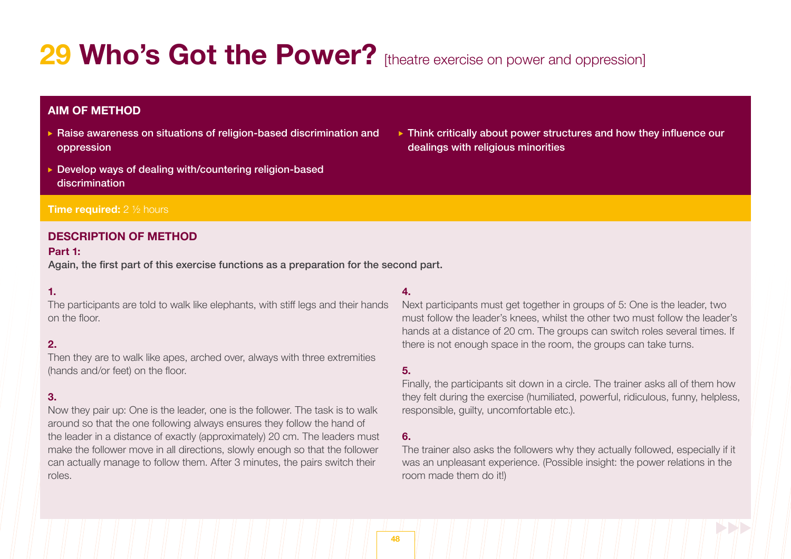# 29 Who's Got the Power? [theatre exercise on power and oppression]

# **AIM OF METHOD**

- ▶ Raise awareness on situations of religion-based discrimination and oppression
- Develop ways of dealing with/countering religion-based discrimination

#### **Time required:** 2 <sup>1</sup>/<sub>2</sub> hours

### **DESCRIPTION OF METHOD**

#### **Part 1:**

Again, the first part of this exercise functions as a preparation for the second part.

### **1.**

The participants are told to walk like elephants, with stiff legs and their hands on the floor.

### **2.**

Then they are to walk like apes, arched over, always with three extremities (hands and/or feet) on the floor.

### **3.**

Now they pair up: One is the leader, one is the follower. The task is to walk around so that the one following always ensures they follow the hand of the leader in a distance of exactly (approximately) 20 cm. The leaders must make the follower move in all directions, slowly enough so that the follower can actually manage to follow them. After 3 minutes, the pairs switch their roles.

#### **4.**

Next participants must get together in groups of 5: One is the leader, two must follow the leader's knees, whilst the other two must follow the leader's hands at a distance of 20 cm. The groups can switch roles several times. If there is not enough space in the room, the groups can take turns.

# **5.**

Finally, the participants sit down in a circle. The trainer asks all of them how they felt during the exercise (humiliated, powerful, ridiculous, funny, helpless, responsible, guilty, uncomfortable etc.).

### **6.**

The trainer also asks the followers why they actually followed, especially if it was an unpleasant experience. (Possible insight: the power relations in the room made them do it!)

▶ Think critically about power structures and how they influence our dealings with religious minorities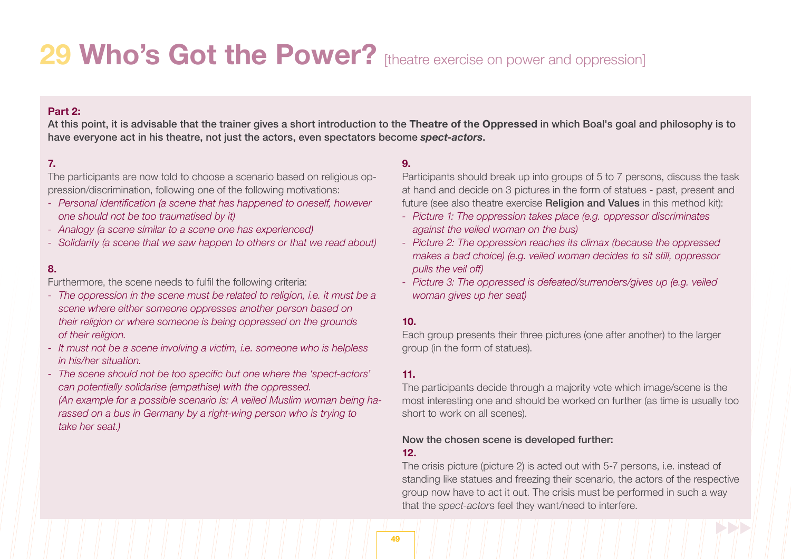# 29 Who's Got the Power? [theatre exercise on power and oppression]

# **Part 2:**

At this point, it is advisable that the trainer gives a short introduction to the **Theatre of the Oppressed** in which Boal's goal and philosophy is to have everyone act in his theatre, not just the actors, even spectators become *spect-actors*.

# **7.**

The participants are now told to choose a scenario based on religious oppression/discrimination, following one of the following motivations:

- *- Personal identification (a scene that has happened to oneself, however one should not be too traumatised by it)*
- *- Analogy (a scene similar to a scene one has experienced)*
- *- Solidarity (a scene that we saw happen to others or that we read about)*

### **8.**

Furthermore, the scene needs to fulfil the following criteria:

- *- The oppression in the scene must be related to religion, i.e. it must be a scene where either someone oppresses another person based on their religion or where someone is being oppressed on the grounds of their religion.*
- *- It must not be a scene involving a victim, i.e. someone who is helpless in his/her situation.*
- *- The scene should not be too specific but one where the 'spect-actors' can potentially solidarise (empathise) with the oppressed. (An example for a possible scenario is: A veiled Muslim woman being ha rassed* on a bus in Germany by a right-wing person who is trying to *take her seat.)*

### **9.**

Participants should break up into groups of 5 to 7 persons, discuss the task at hand and decide on 3 pictures in the form of statues - past, present and future (see also theatre exercise **Religion and Values** in this method kit):

- *- Picture 1: The oppression takes place (e.g. oppressor discriminates against the veiled woman on the bus)*
- *- Picture 2: The oppression reaches its climax (because the oppressed makes a bad choice) (e.g. veiled woman decides to sit still, oppressor pulls the veil off)*
- *- Picture 3: The oppressed is defeated/surrenders/gives up (e.g. veiled woman gives up her seat)*

#### **10.**

Each group presents their three pictures (one after another) to the larger group (in the form of statues).

### **11.**

The participants decide through a majority vote which image/scene is the most interesting one and should be worked on further (as time is usually too short to work on all scenes).

# Now the chosen scene is developed further:

#### **12.**

The crisis picture (picture 2) is acted out with 5-7 persons, i.e. instead of standing like statues and freezing their scenario, the actors of the respective group now have to act it out. The crisis must be performed in such a way that the *spect-actor*s feel they want/need to interfere.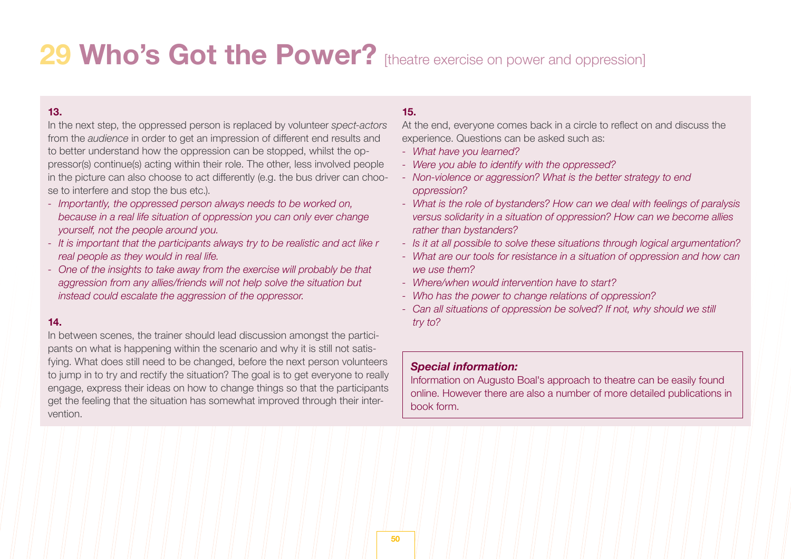# 29 Who's Got the Power? [theatre exercise on power and oppression]

### **13.**

In the next step, the oppressed person is replaced by volunteer *spect-actors*  from the *audience* in order to get an impression of different end results and to better understand how the oppression can be stopped, whilst the oppressor(s) continue(s) acting within their role. The other, less involved people in the picture can also choose to act differently (e.g. the bus driver can choose to interfere and stop the bus etc.).

- *- Importantly, the oppressed person always needs to be worked on, because in a real life situation of oppression you can only ever change yourself, not the people around you.*
- *- It is important that the participants always try to be realistic and act like r real people as they would in real life.*
- *- One of the insights to take away from the exercise will probably be that aggression from any allies/friends will not help solve the situation but instead could escalate the aggression of the oppressor.*

# **14.**

In between scenes, the trainer should lead discussion amongst the participants on what is happening within the scenario and why it is still not satisfying. What does still need to be changed, before the next person volunteers to jump in to try and rectify the situation? The goal is to get everyone to really engage, express their ideas on how to change things so that the participants get the feeling that the situation has somewhat improved through their intervention.

# **15.**

At the end, everyone comes back in a circle to reflect on and discuss the experience. Questions can be asked such as:

- *- What have you learned?*
- *- Were you able to identify with the oppressed?*
- *- Non-violence or aggression? What is the better strategy to end oppression?*
- *- What is the role of bystanders? How can we deal with feelings of paralysis versus solidarity in a situation of oppression? How can we become allies rather than bystanders?*
- *- Is it at all possible to solve these situations through logical argumentation?*
- *- What are our tools for resistance in a situation of oppression and how can we use them?*
- *- Where/when would intervention have to start?*
- *- Who has the power to change relations of oppression?*
- *- Can all situations of oppression be solved? If not, why should we still try to?*

# *Special information:*

Information on Augusto Boal's approach to theatre can be easily found online. However there are also a number of more detailed publications in book form.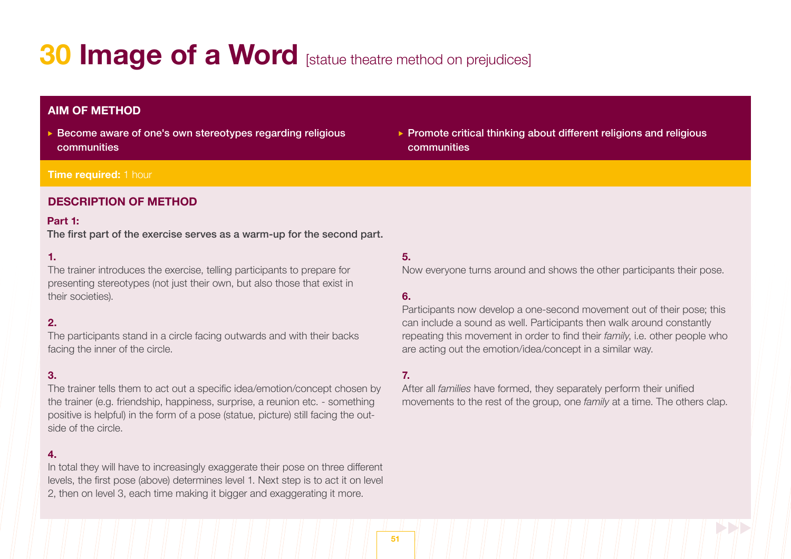# **30 Image of a Word** [statue theatre method on prejudices]

# **AIM OF METHOD**

 Become aware of one's own stereotypes regarding religious communities

# $\triangleright$  Promote critical thinking about different religions and religious communities

#### **Time required: 1 hour**

# **DESCRIPTION OF METHOD**

#### **Part 1:**

The first part of the exercise serves as a warm-up for the second part.

# **1.**

The trainer introduces the exercise, telling participants to prepare for presenting stereotypes (not just their own, but also those that exist in their societies).

# **2.**

The participants stand in a circle facing outwards and with their backs facing the inner of the circle.

# **3.**

The trainer tells them to act out a specific idea/emotion/concept chosen by the trainer (e.g. friendship, happiness, surprise, a reunion etc. - something positive is helpful) in the form of a pose (statue, picture) still facing the outside of the circle.

### **4.**

In total they will have to increasingly exaggerate their pose on three different levels, the first pose (above) determines level 1. Next step is to act it on level 2, then on level 3, each time making it bigger and exaggerating it more.

### **5.**

Now everyone turns around and shows the other participants their pose.

# **6.**

Participants now develop a one-second movement out of their pose; this can include a sound as well. Participants then walk around constantly repeating this movement in order to find their *family*, i.e. other people who are acting out the emotion/idea/concept in a similar way.

### **7.**

After all *families* have formed, they separately perform their unified movements to the rest of the group, one *family* at a time. The others clap.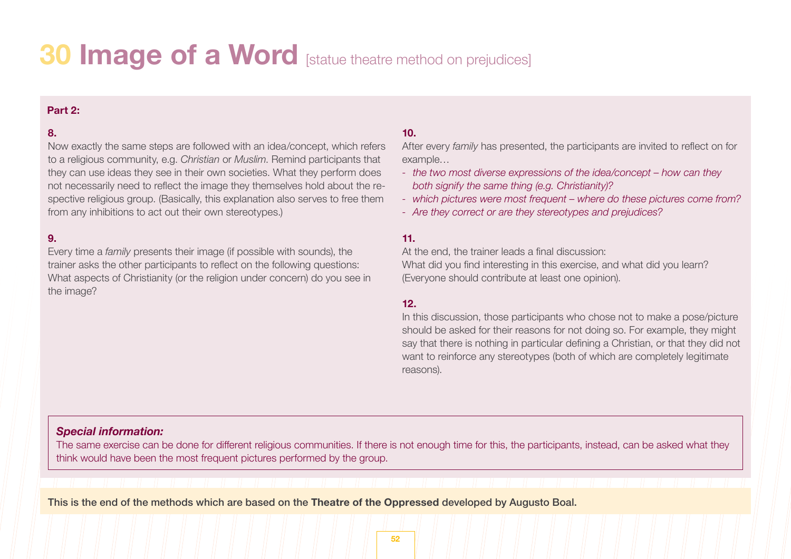# **30 Image of a Word** [statue theatre method on prejudices]

### **Part 2:**

# **8.**

Now exactly the same steps are followed with an idea/concept, which refers to a religious community, e.g. *Christian* or *Muslim*. Remind participants that they can use ideas they see in their own societies. What they perform does not necessarily need to reflect the image they themselves hold about the respective religious group. (Basically, this explanation also serves to free them from any inhibitions to act out their own stereotypes.)

### **9.**

Every time a *family* presents their image (if possible with sounds), the trainer asks the other participants to reflect on the following questions: What aspects of Christianity (or the religion under concern) do you see in the image?

# **10.**

After every *family* has presented, the participants are invited to reflect on for example…

- *- the two most diverse expressions of the idea/concept – how can they both signify the same thing (e.g. Christianity)?*
- *- which pictures were most frequent – where do these pictures come from?*
- *- Are they correct or are they stereotypes and prejudices?*

### **11.**

At the end, the trainer leads a final discussion: What did you find interesting in this exercise, and what did you learn? (Everyone should contribute at least one opinion).

### **12.**

In this discussion, those participants who chose not to make a pose/picture should be asked for their reasons for not doing so. For example, they might say that there is nothing in particular defining a Christian, or that they did not want to reinforce any stereotypes (both of which are completely legitimate reasons).

### *Special information:*

The same exercise can be done for different religious communities. If there is not enough time for this, the participants, instead, can be asked what they think would have been the most frequent pictures performed by the group.

This is the end of the methods which are based on the **Theatre of the Oppressed** developed by Augusto Boal.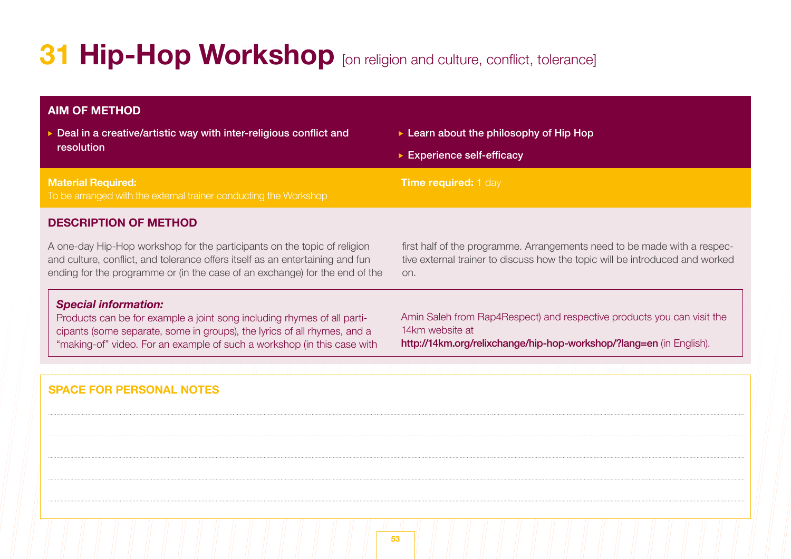# **31 Hip-Hop Workshop** [on religion and culture, conflict, tolerance]

# **DESCRIPTION OF METHOD AIM OF METHOD Material Required:**  To be arranged with the external trainer conducting the Workshop **Time required:** 1 day ▶ Deal in a creative/artistic way with inter-religious conflict and resolution ► Learn about the philosophy of Hip Hop ► Experience self-efficacy A one-day Hip-Hop workshop for the participants on the topic of religion and culture, conflict, and tolerance offers itself as an entertaining and fun ending for the programme or (in the case of an exchange) for the end of the first half of the programme. Arrangements need to be made with a respective external trainer to discuss how the topic will be introduced and worked on. *Special information:* Products can be for example a joint song including rhymes of all participants (some separate, some in groups), the lyrics of all rhymes, and a "making-of" video. For an example of such a workshop (in this case with Amin Saleh from Rap4Respect) and respective products you can visit the 14km website at http://14km.org/relixchange/hip-hop-workshop/?lang=en (in English). **SPACE FOR PERSONAL NOTES**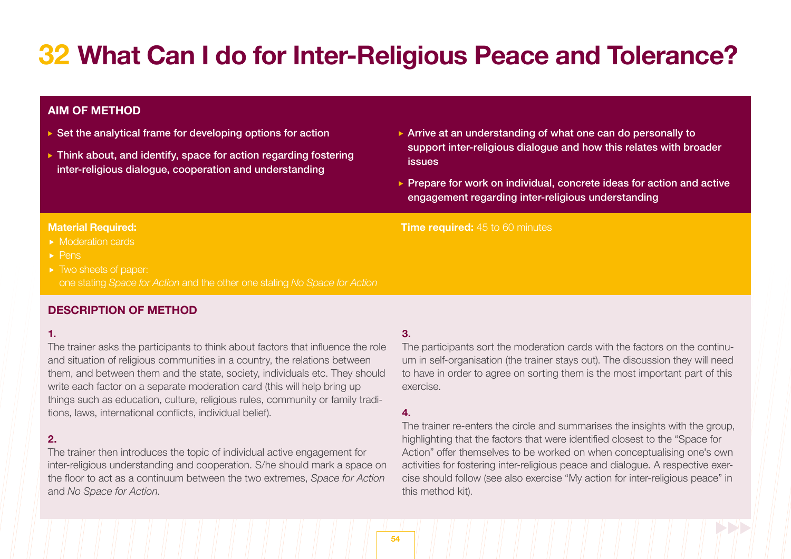# **32 What Can I do for Inter-Religious Peace and Tolerance?**

# **AIM OF METHOD**

- $\triangleright$  Set the analytical frame for developing options for action
- $\triangleright$  Think about, and identify, space for action regarding fostering inter-religious dialogue, cooperation and understanding
- Arrive at an understanding of what one can do personally to support inter-religious dialogue and how this relates with broader issues
- Prepare for work on individual, concrete ideas for action and active engagement regarding inter-religious understanding

#### **Material Required:**

- Moderation cards
- $\blacktriangleright$  Pens
- $\blacktriangleright$  Two sheets of paper: one stating *Space for Action* and the other one stating *No Space for Action*

# **DESCRIPTION OF METHOD**

### **1.**

The trainer asks the participants to think about factors that influence the role and situation of religious communities in a country, the relations between them, and between them and the state, society, individuals etc. They should write each factor on a separate moderation card (this will help bring up things such as education, culture, religious rules, community or family traditions, laws, international conflicts, individual belief).

# **2.**

The trainer then introduces the topic of individual active engagement for inter-religious understanding and cooperation. S/he should mark a space on the floor to act as a continuum between the two extremes, *Space for Action* and *No Space for Action*.

# **3.**

**Time required:** 45 to 60 minutes

The participants sort the moderation cards with the factors on the continuum in self-organisation (the trainer stays out). The discussion they will need to have in order to agree on sorting them is the most important part of this exercise.

### **4.**

The trainer re-enters the circle and summarises the insights with the group, highlighting that the factors that were identified closest to the "Space for Action" offer themselves to be worked on when conceptualising one's own activities for fostering inter-religious peace and dialogue. A respective exercise should follow (see also exercise "My action for inter-religious peace" in this method kit).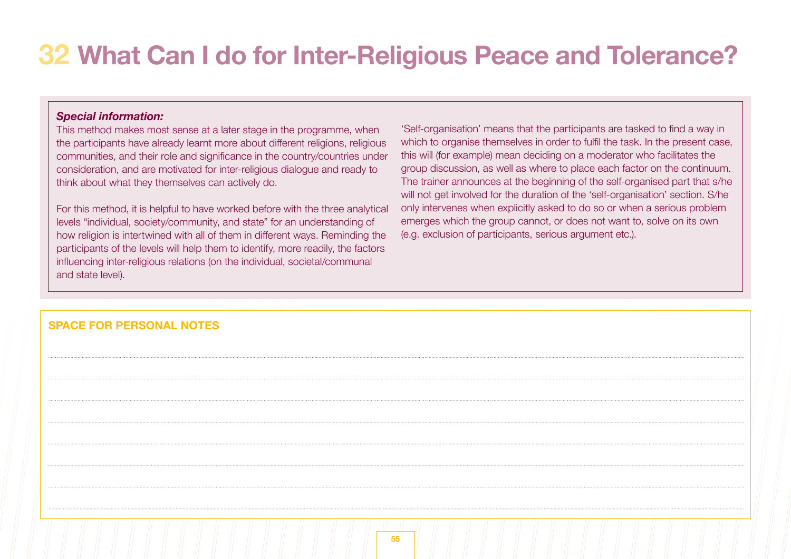# **32 What Can I do for Inter-Religious Peace and Tolerance?**

# *Special information:*

This method makes most sense at a later stage in the programme, when the participants have already learnt more about different religions, religious communities, and their role and significance in the country/countries under consideration, and are motivated for inter-religious dialogue and ready to think about what they themselves can actively do.

For this method, it is helpful to have worked before with the three analytical levels "individual, society/community, and state" for an understanding of how religion is intertwined with all of them in different ways. Reminding the participants of the levels will help them to identify, more readily, the factors influencing inter-religious relations (on the individual, societal/communal and state level).

'Self-organisation' means that the participants are tasked to find a way in which to organise themselves in order to fulfil the task. In the present case, this will (for example) mean deciding on a moderator who facilitates the group discussion, as well as where to place each factor on the continuum. The trainer announces at the beginning of the self-organised part that s/he will not get involved for the duration of the 'self-organisation' section. S/he only intervenes when explicitly asked to do so or when a serious problem emerges which the group cannot, or does not want to, solve on its own (e.g. exclusion of participants, serious argument etc.).

# **SPACE FOR PERSONAL NOTES**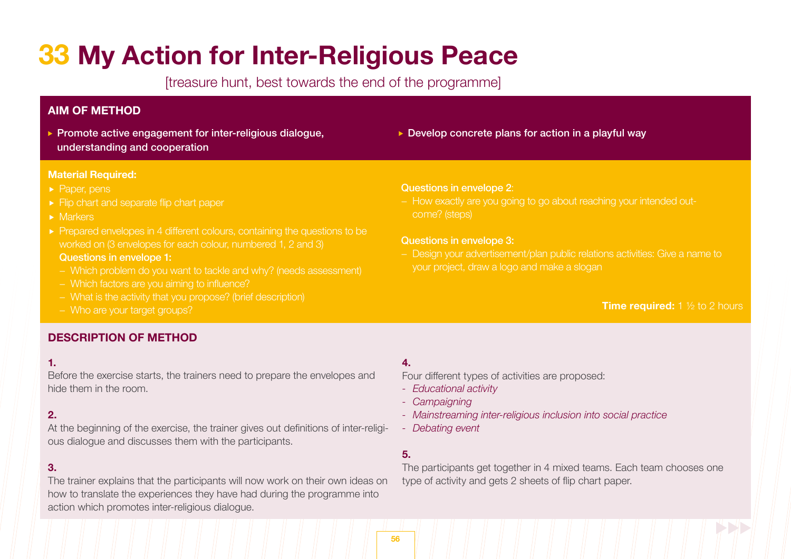# **33 My Action for Inter-Religious Peace**

[treasure hunt, best towards the end of the programme]

# **AIM OF METHOD**

**Promote active engagement for inter-religious dialogue.** understanding and cooperation

### **Material Required:**

- Paper, pens
- $\blacktriangleright$  Flip chart and separate flip chart paper
- Markers
- **Prepared envelopes in 4 different colours, containing the questions to be**  worked on (3 envelopes for each colour, numbered 1, 2 and 3) Questions in envelope 1:
	-
	- − Which factors are you aiming to influence?
	- − What is the activity that you propose? (brief description)
	- − Who are your target groups?

# ▶ Develop concrete plans for action in a playful way

#### Questions in envelope 2:

come? (steps)

### Questions in envelope 3:

− Design your advertisement/plan public relations activities: Give a name to 

# **Time required:** 1 <sup>1</sup>/<sub>2</sub> to 2 hours

# **DESCRIPTION OF METHOD**

### **1.**

Before the exercise starts, the trainers need to prepare the envelopes and hide them in the room.

# **2.**

At the beginning of the exercise, the trainer gives out definitions of inter-religious dialogue and discusses them with the participants.

# **3.**

The trainer explains that the participants will now work on their own ideas on how to translate the experiences they have had during the programme into action which promotes inter-religious dialogue.

# **4.**

Four different types of activities are proposed:

- *- Educational activity*
- *- Campaigning*
- *- Mainstreaming inter-religious inclusion into social practice*
- *- Debating event*

# **5.**

The participants get together in 4 mixed teams. Each team chooses one type of activity and gets 2 sheets of flip chart paper.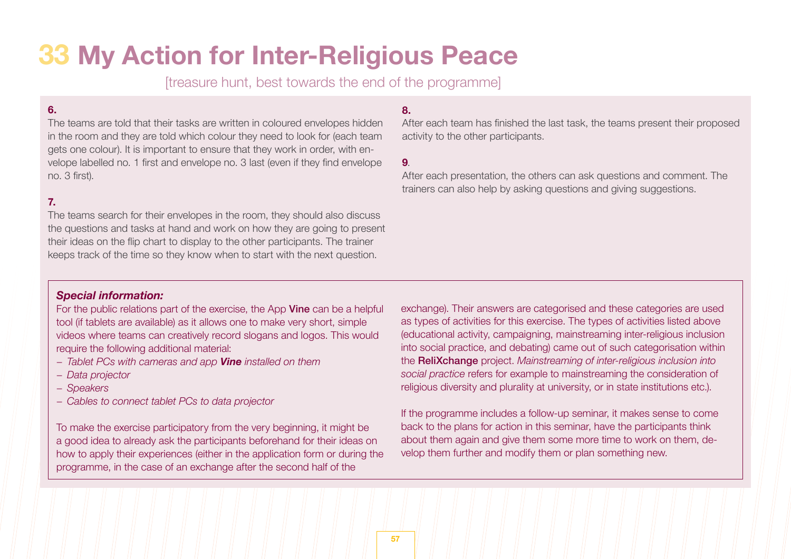# **33 My Action for Inter-Religious Peace**

[treasure hunt, best towards the end of the programme]

# **6.**

The teams are told that their tasks are written in coloured envelopes hidden in the room and they are told which colour they need to look for (each team gets one colour). It is important to ensure that they work in order, with envelope labelled no. 1 first and envelope no. 3 last (even if they find envelope no. 3 first).

# **7.**

The teams search for their envelopes in the room, they should also discuss the questions and tasks at hand and work on how they are going to present their ideas on the flip chart to display to the other participants. The trainer keeps track of the time so they know when to start with the next question.

# **8.**

After each team has finished the last task, the teams present their proposed activity to the other participants.

#### **9**.

After each presentation, the others can ask questions and comment. The trainers can also help by asking questions and giving suggestions.

# *Special information:*

For the public relations part of the exercise, the App Vine can be a helpful tool (if tablets are available) as it allows one to make very short, simple videos where teams can creatively record slogans and logos. This would require the following additional material:

- *− Tablet PCs with cameras and app Vine installed on them*
- *− Data projector*
- *− Speakers*
- *− Cables to connect tablet PCs to data projector*

To make the exercise participatory from the very beginning, it might be a good idea to already ask the participants beforehand for their ideas on how to apply their experiences (either in the application form or during the programme, in the case of an exchange after the second half of the

exchange). Their answers are categorised and these categories are used as types of activities for this exercise. The types of activities listed above (educational activity, campaigning, mainstreaming inter-religious inclusion into social practice, and debating) came out of such categorisation within the ReliXchange project. *Mainstreaming of inter-religious inclusion into social practice* refers for example to mainstreaming the consideration of religious diversity and plurality at university, or in state institutions etc.).

If the programme includes a follow-up seminar, it makes sense to come back to the plans for action in this seminar, have the participants think about them again and give them some more time to work on them, develop them further and modify them or plan something new.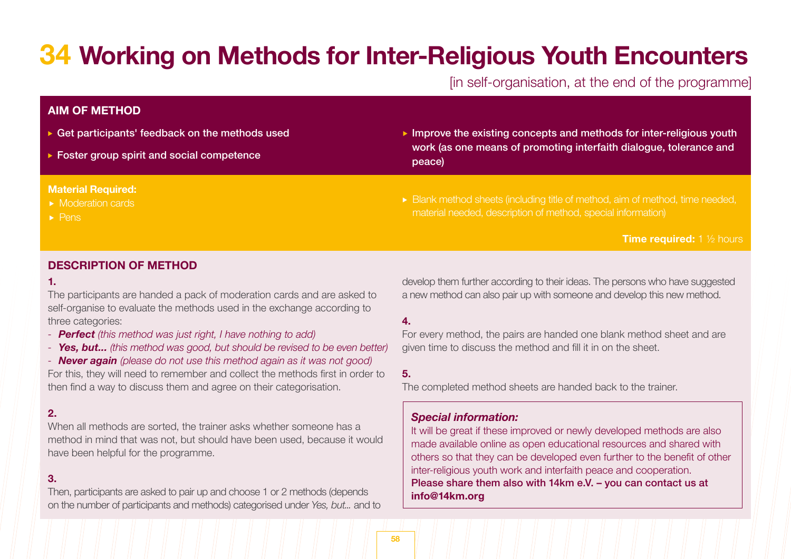# **34 Working on Methods for Inter-Religious Youth Encounters**

# [in self-organisation, at the end of the programme]

# **AIM OF METHOD**

- ▶ Get participants' feedback on the methods used
- ▶ Foster group spirit and social competence

### **Material Required:**

- Moderation cards
- $\blacktriangleright$  Pens
- Improve the existing concepts and methods for inter-religious youth work (as one means of promoting interfaith dialogue, tolerance and peace)
- Blank method sheets (including title of method, aim of method, time needed, material needed, description of method, special information)

**Time required:** 1 ½ hours

# **DESCRIPTION OF METHOD**

#### **1.**

The participants are handed a pack of moderation cards and are asked to self-organise to evaluate the methods used in the exchange according to three categories:

- *- Perfect (this method was just right, I have nothing to add)*
- *- Yes, but... (this method was good, but should be revised to be even better)*

*- Never again (please do not use this method again as it was not good)*

For this, they will need to remember and collect the methods first in order to then find a way to discuss them and agree on their categorisation.

# **2.**

When all methods are sorted, the trainer asks whether someone has a method in mind that was not, but should have been used, because it would have been helpful for the programme.

### **3.**

Then, participants are asked to pair up and choose 1 or 2 methods (depends on the number of participants and methods) categorised under *Yes, but...* and to develop them further according to their ideas. The persons who have suggested a new method can also pair up with someone and develop this new method.

### **4.**

For every method, the pairs are handed one blank method sheet and are given time to discuss the method and fill it in on the sheet.

**5.**

The completed method sheets are handed back to the trainer.

# *Special information:*

It will be great if these improved or newly developed methods are also made available online as open educational resources and shared with others so that they can be developed even further to the benefit of other inter-religious youth work and interfaith peace and cooperation. Please share them also with 14km e.V. – you can contact us at **info@14km.org**